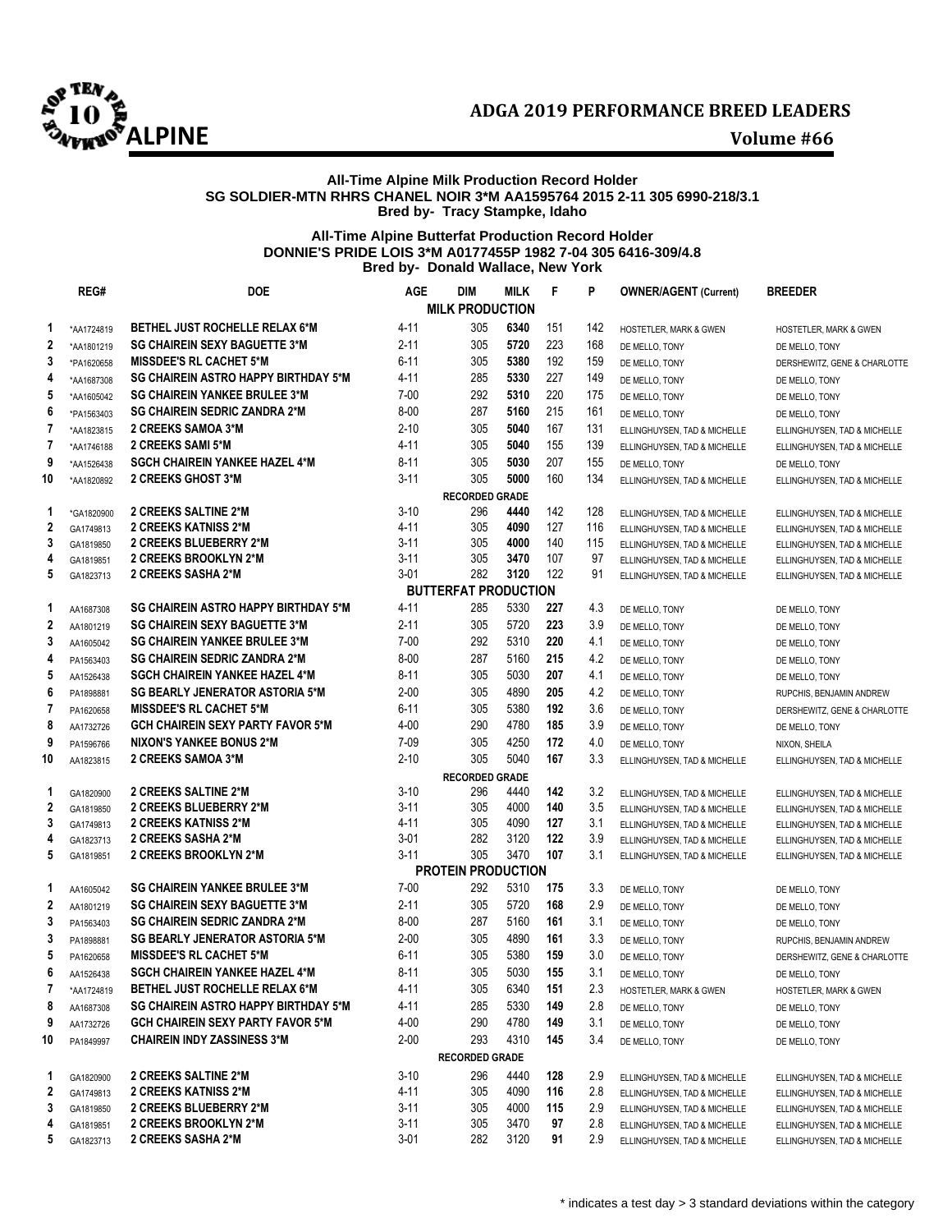

## **All-Time Alpine Milk Production Record Holder SG SOLDIER-MTN RHRS CHANEL NOIR 3\*M AA1595764 2015 2-11 305 6990-218/3.1 Bred by- Tracy Stampke, Idaho**

## **All-Time Alpine Butterfat Production Record Holder DONNIE'S PRIDE LOIS 3\*M A0177455P 1982 7-04 305 6416-309/4.8 Bred by- Donald Wallace, New York**

|                  | REG#                   | <b>DOE</b>                                            | <b>AGE</b>           | <b>DIM</b>                  | <b>MILK</b>  | F          | P          | <b>OWNER/AGENT (Current)</b>                                 | BREEDER                                                      |
|------------------|------------------------|-------------------------------------------------------|----------------------|-----------------------------|--------------|------------|------------|--------------------------------------------------------------|--------------------------------------------------------------|
|                  |                        |                                                       |                      | <b>MILK PRODUCTION</b>      |              |            |            |                                                              |                                                              |
| 1                | *AA1724819             | <b>BETHEL JUST ROCHELLE RELAX 6*M</b>                 | 4-11                 | 305                         | 6340         | 151        | 142        | HOSTETLER, MARK & GWEN                                       | HOSTETLER, MARK & GWEN                                       |
| $\mathbf 2$      | *AA1801219             | <b>SG CHAIREIN SEXY BAGUETTE 3*M</b>                  | $2 - 11$             | 305                         | 5720         | 223        | 168        | DE MELLO, TONY                                               | DE MELLO, TONY                                               |
| 3                | *PA1620658             | <b>MISSDEE'S RL CACHET 5*M</b>                        | 6-11                 | 305                         | 5380         | 192        | 159        | DE MELLO, TONY                                               | DERSHEWITZ, GENE & CHARLOTTE                                 |
| 4                | *AA1687308             | <b>SG CHAIREIN ASTRO HAPPY BIRTHDAY 5*M</b>           | 4-11                 | 285                         | 5330         | 227        | 149        | DE MELLO, TONY                                               | DE MELLO, TONY                                               |
| 5                | *AA1605042             | <b>SG CHAIREIN YANKEE BRULEE 3*M</b>                  | $7 - 00$             | 292                         | 5310         | 220        | 175        | DE MELLO, TONY                                               | DE MELLO, TONY                                               |
| 6                | *PA1563403             | <b>SG CHAIREIN SEDRIC ZANDRA 2*M</b>                  | $8 - 00$             | 287                         | 5160         | 215        | 161        | DE MELLO, TONY                                               | DE MELLO, TONY                                               |
| 7                | *AA1823815             | 2 CREEKS SAMOA 3*M                                    | $2 - 10$             | 305                         | 5040         | 167        | 131        | ELLINGHUYSEN, TAD & MICHELLE                                 | ELLINGHUYSEN, TAD & MICHELLE                                 |
| 7                | *AA1746188             | 2 CREEKS SAMI 5*M                                     | 4-11                 | 305                         | 5040         | 155        | 139        | ELLINGHUYSEN, TAD & MICHELLE                                 | ELLINGHUYSEN, TAD & MICHELLE                                 |
| 9                | *AA1526438             | <b>SGCH CHAIREIN YANKEE HAZEL 4*M</b>                 | $8 - 11$             | 305                         | 5030         | 207        | 155        | DE MELLO, TONY                                               | DE MELLO, TONY                                               |
| 10               | *AA1820892             | 2 CREEKS GHOST 3*M                                    | $3 - 11$             | 305                         | 5000         | 160        | 134        | ELLINGHUYSEN, TAD & MICHELLE                                 | ELLINGHUYSEN, TAD & MICHELLE                                 |
|                  |                        |                                                       |                      | <b>RECORDED GRADE</b>       |              |            |            |                                                              |                                                              |
| 1                | *GA1820900             | 2 CREEKS SALTINE 2*M                                  | $3 - 10$             | 296                         | 4440         | 142        | 128        | ELLINGHUYSEN, TAD & MICHELLE                                 | ELLINGHUYSEN, TAD & MICHELLE                                 |
| $\mathbf 2$      | GA1749813              | 2 CREEKS KATNISS 2*M                                  | $4 - 11$             | 305                         | 4090         | 127        | 116        | ELLINGHUYSEN, TAD & MICHELLE                                 | ELLINGHUYSEN, TAD & MICHELLE                                 |
| 3                | GA1819850              | 2 CREEKS BLUEBERRY 2*M                                | $3 - 11$             | 305                         | 4000         | 140        | 115        | ELLINGHUYSEN, TAD & MICHELLE                                 | ELLINGHUYSEN, TAD & MICHELLE                                 |
| 4                | GA1819851              | 2 CREEKS BROOKLYN 2*M                                 | 3-11                 | 305                         | 3470         | 107        | 97         | ELLINGHUYSEN, TAD & MICHELLE                                 | ELLINGHUYSEN, TAD & MICHELLE                                 |
| 5                | GA1823713              | 2 CREEKS SASHA 2*M                                    | $3 - 01$             | 282                         | 3120         | 122        | 91         | ELLINGHUYSEN, TAD & MICHELLE                                 | ELLINGHUYSEN, TAD & MICHELLE                                 |
|                  |                        |                                                       |                      | <b>BUTTERFAT PRODUCTION</b> |              |            |            |                                                              |                                                              |
| 1                | AA1687308              | <b>SG CHAIREIN ASTRO HAPPY BIRTHDAY 5*M</b>           | 4-11                 | 285                         | 5330         | 227        | 4.3        | DE MELLO, TONY                                               | DE MELLO, TONY                                               |
| 2                | AA1801219              | <b>SG CHAIREIN SEXY BAGUETTE 3*M</b>                  | 2-11                 | 305                         | 5720         | 223        | 3.9        | DE MELLO, TONY                                               | DE MELLO, TONY                                               |
| 3                | AA1605042              | <b>SG CHAIREIN YANKEE BRULEE 3*M</b>                  | $7 - 00$             | 292                         | 5310         | 220        | 4.1        | DE MELLO, TONY                                               | DE MELLO, TONY                                               |
| 4                | PA1563403              | <b>SG CHAIREIN SEDRIC ZANDRA 2*M</b>                  | $8 - 00$             | 287                         | 5160         | 215        | 4.2        | DE MELLO, TONY                                               | DE MELLO, TONY                                               |
| 5                | AA1526438              | <b>SGCH CHAIREIN YANKEE HAZEL 4*M</b>                 | 8-11                 | 305                         | 5030         | 207        | 4.1        | DE MELLO, TONY                                               | DE MELLO, TONY                                               |
| 6                | PA1898881              | <b>SG BEARLY JENERATOR ASTORIA 5*M</b>                | $2 - 00$             | 305                         | 4890         | 205        | 4.2        | DE MELLO, TONY                                               | RUPCHIS, BENJAMIN ANDREW                                     |
| 7                | PA1620658              | <b>MISSDEE'S RL CACHET 5*M</b>                        | 6-11                 | 305                         | 5380         | 192        | 3.6        | DE MELLO, TONY                                               | DERSHEWITZ, GENE & CHARLOTTE                                 |
| 8                | AA1732726              | <b>GCH CHAIREIN SEXY PARTY FAVOR 5*M</b>              | 4-00                 | 290                         | 4780         | 185        | 3.9        | DE MELLO, TONY                                               | DE MELLO, TONY                                               |
| 9                | PA1596766              | <b>NIXON'S YANKEE BONUS 2*M</b>                       | $7-09$               | 305                         | 4250         | 172        | 4.0        | DE MELLO, TONY                                               | NIXON, SHEILA                                                |
| 10               | AA1823815              | 2 CREEKS SAMOA 3*M                                    | $2 - 10$             | 305                         | 5040         | 167        | 3.3        | ELLINGHUYSEN, TAD & MICHELLE                                 | ELLINGHUYSEN, TAD & MICHELLE                                 |
|                  |                        |                                                       |                      | <b>RECORDED GRADE</b>       |              |            |            |                                                              |                                                              |
| 1<br>$\mathbf 2$ | GA1820900              | <b>2 CREEKS SALTINE 2*M</b><br>2 CREEKS BLUEBERRY 2*M | $3 - 10$<br>$3 - 11$ | 296<br>305                  | 4440<br>4000 | 142<br>140 | 3.2<br>3.5 | ELLINGHUYSEN, TAD & MICHELLE                                 | ELLINGHUYSEN, TAD & MICHELLE                                 |
| 3                | GA1819850<br>GA1749813 | 2 CREEKS KATNISS 2*M                                  | 4-11                 | 305                         | 4090         | 127        | 3.1        | ELLINGHUYSEN, TAD & MICHELLE<br>ELLINGHUYSEN, TAD & MICHELLE | ELLINGHUYSEN, TAD & MICHELLE<br>ELLINGHUYSEN, TAD & MICHELLE |
| 4                | GA1823713              | 2 CREEKS SASHA 2*M                                    | $3 - 01$             | 282                         | 3120         | 122        | 3.9        | ELLINGHUYSEN, TAD & MICHELLE                                 | ELLINGHUYSEN, TAD & MICHELLE                                 |
| 5                | GA1819851              | 2 CREEKS BROOKLYN 2*M                                 | $3 - 11$             | 305                         | 3470         | 107        | 3.1        | ELLINGHUYSEN, TAD & MICHELLE                                 | ELLINGHUYSEN, TAD & MICHELLE                                 |
|                  |                        |                                                       |                      | <b>PROTEIN PRODUCTION</b>   |              |            |            |                                                              |                                                              |
| 1                | AA1605042              | <b>SG CHAIREIN YANKEE BRULEE 3*M</b>                  | $7 - 00$             | 292                         | 5310         | 175        | 3.3        | DE MELLO, TONY                                               | DE MELLO, TONY                                               |
| $\mathbf 2$      | AA1801219              | <b>SG CHAIREIN SEXY BAGUETTE 3*M</b>                  | 2-11                 | 305                         | 5720         | 168        | 2.9        | DE MELLO, TONY                                               | DE MELLO, TONY                                               |
| 3                | PA1563403              | <b>SG CHAIREIN SEDRIC ZANDRA 2*M</b>                  | $8 - 00$             | 287                         | 5160         | 161        | 3.1        | DE MELLO, TONY                                               | DE MELLO, TONY                                               |
| 3                | PA1898881              | <b>SG BEARLY JENERATOR ASTORIA 5*M</b>                | $2 - 00$             | 305                         | 4890         | 161        | 3.3        | DE MELLO, TONY                                               | RUPCHIS, BENJAMIN ANDREW                                     |
| 5                | PA1620658              | <b>MISSDEE'S RL CACHET 5*M</b>                        | $6 - 11$             | 305                         | 5380         | 159        | 3.0        | DE MELLO, TONY                                               | DERSHEWITZ, GENE & CHARLOTTE                                 |
| 6                | AA1526438              | <b>SGCH CHAIREIN YANKEE HAZEL 4*M</b>                 | 8-11                 | 305                         | 5030         | 155        | 3.1        | DE MELLO, TONY                                               | DE MELLO, TONY                                               |
| 7                | *AA1724819             | <b>BETHEL JUST ROCHELLE RELAX 6*M</b>                 | $4 - 11$             | 305                         | 6340         | 151        | 2.3        | HOSTETLER, MARK & GWEN                                       | <b>HOSTETLER, MARK &amp; GWEN</b>                            |
| 8                | AA1687308              | SG CHAIREIN ASTRO HAPPY BIRTHDAY 5*M                  | 4-11                 | 285                         | 5330         | 149        | 2.8        | DE MELLO, TONY                                               | DE MELLO, TONY                                               |
| 9                | AA1732726              | <b>GCH CHAIREIN SEXY PARTY FAVOR 5*M</b>              | $4 - 00$             | 290                         | 4780         | 149        | 3.1        | DE MELLO, TONY                                               | DE MELLO, TONY                                               |
| 10               | PA1849997              | <b>CHAIREIN INDY ZASSINESS 3*M</b>                    | $2 - 00$             | 293                         | 4310         | 145        | 3.4        | DE MELLO, TONY                                               | DE MELLO, TONY                                               |
|                  |                        |                                                       |                      | <b>RECORDED GRADE</b>       |              |            |            |                                                              |                                                              |
| 1                | GA1820900              | <b>2 CREEKS SALTINE 2*M</b>                           | $3 - 10$             | 296                         | 4440         | 128        | 2.9        | ELLINGHUYSEN, TAD & MICHELLE                                 | ELLINGHUYSEN, TAD & MICHELLE                                 |
| $\mathbf 2$      | GA1749813              | <b>2 CREEKS KATNISS 2*M</b>                           | 4-11                 | 305                         | 4090         | 116        | 2.8        | ELLINGHUYSEN, TAD & MICHELLE                                 | ELLINGHUYSEN, TAD & MICHELLE                                 |
| 3                | GA1819850              | 2 CREEKS BLUEBERRY 2*M                                | $3 - 11$             | 305                         | 4000         | 115        | 2.9        | ELLINGHUYSEN, TAD & MICHELLE                                 | ELLINGHUYSEN, TAD & MICHELLE                                 |
| 4                | GA1819851              | 2 CREEKS BROOKLYN 2*M                                 | $3 - 11$             | 305                         | 3470         | 97         | 2.8        | ELLINGHUYSEN, TAD & MICHELLE                                 | ELLINGHUYSEN, TAD & MICHELLE                                 |
| 5                | GA1823713              | 2 CREEKS SASHA 2*M                                    | $3 - 01$             | 282                         | 3120         | 91         | 2.9        | ELLINGHUYSEN, TAD & MICHELLE                                 | ELLINGHUYSEN, TAD & MICHELLE                                 |
|                  |                        |                                                       |                      |                             |              |            |            |                                                              |                                                              |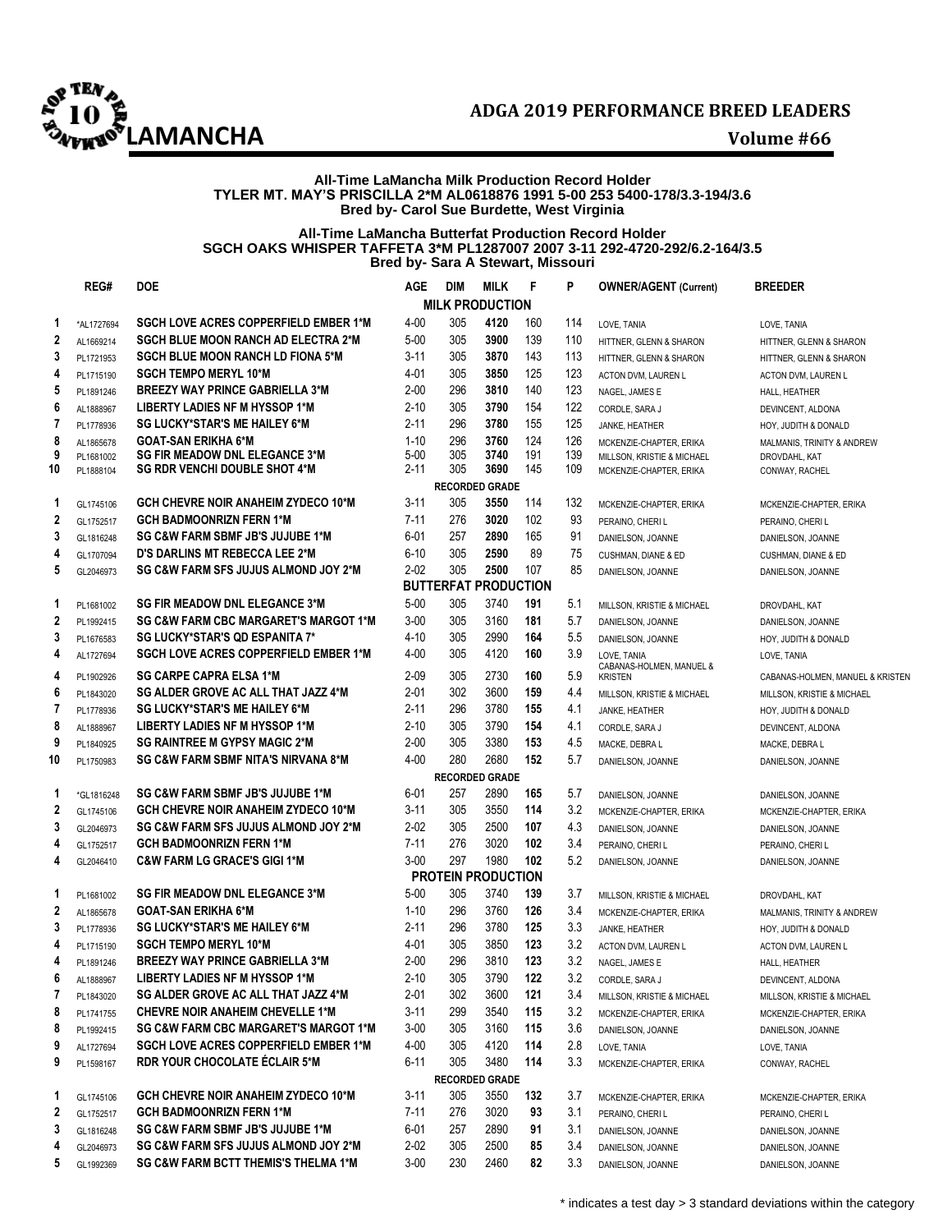

### **All-Time LaMancha Milk Production Record Holder TYLER MT. MAY'S PRISCILLA 2\*M AL0618876 1991 5-00 253 5400-178/3.3-194/3.6 Bred by- Carol Sue Burdette, West Virginia**

### **All-Time LaMancha Butterfat Production Record Holder SGCH OAKS WHISPER TAFFETA 3\*M PL1287007 2007 3-11 292-4720-292/6.2-164/3.5 Bred by- Sara A Stewart, Missouri**

|                | REG#       | <b>DOE</b>                                       | <b>AGE</b> | <b>DIM</b> | <b>MILK</b>                 | F   | P   | <b>OWNER/AGENT (Current)</b>            | <b>BREEDER</b>                   |
|----------------|------------|--------------------------------------------------|------------|------------|-----------------------------|-----|-----|-----------------------------------------|----------------------------------|
|                |            |                                                  |            |            | <b>MILK PRODUCTION</b>      |     |     |                                         |                                  |
| 1              | *AL1727694 | SGCH LOVE ACRES COPPERFIELD EMBER 1*M            | $4 - 00$   | 305        | 4120                        | 160 | 114 | LOVE, TANIA                             | LOVE, TANIA                      |
| $\overline{2}$ | AL1669214  | <b>SGCH BLUE MOON RANCH AD ELECTRA 2*M</b>       | $5 - 00$   | 305        | 3900                        | 139 | 110 | HITTNER, GLENN & SHARON                 | HITTNER, GLENN & SHARON          |
| 3              | PL1721953  | <b>SGCH BLUE MOON RANCH LD FIONA 5*M</b>         | $3 - 11$   | 305        | 3870                        | 143 | 113 | HITTNER, GLENN & SHARON                 | HITTNER, GLENN & SHARON          |
| 4              | PL1715190  | <b>SGCH TEMPO MERYL 10*M</b>                     | $4 - 01$   | 305        | 3850                        | 125 | 123 | ACTON DVM, LAUREN L                     | ACTON DVM, LAUREN L              |
| 5              | PL1891246  | <b>BREEZY WAY PRINCE GABRIELLA 3*M</b>           | $2 - 00$   | 296        | 3810                        | 140 | 123 | NAGEL, JAMES E                          | HALL, HEATHER                    |
| 6              | AL1888967  | LIBERTY LADIES NF M HYSSOP 1*M                   | $2 - 10$   | 305        | 3790                        | 154 | 122 | CORDLE, SARA J                          | DEVINCENT, ALDONA                |
| $\overline{7}$ | PL1778936  | <b>SG LUCKY*STAR'S ME HAILEY 6*M</b>             | $2 - 11$   | 296        | 3780                        | 155 | 125 | JANKE, HEATHER                          | HOY, JUDITH & DONALD             |
| 8              | AL1865678  | <b>GOAT-SAN ERIKHA 6*M</b>                       | $1 - 10$   | 296        | 3760                        | 124 | 126 | MCKENZIE-CHAPTER, ERIKA                 | MALMANIS, TRINITY & ANDREW       |
| 9              | PL1681002  | <b>SG FIR MEADOW DNL ELEGANCE 3*M</b>            | $5 - 00$   | 305        | 3740                        | 191 | 139 | MILLSON, KRISTIE & MICHAEL              | DROVDAHL, KAT                    |
| 10             | PL1888104  | <b>SG RDR VENCHI DOUBLE SHOT 4*M</b>             | $2 - 11$   | 305        | 3690                        | 145 | 109 | MCKENZIE-CHAPTER, ERIKA                 | CONWAY, RACHEL                   |
|                |            |                                                  |            |            | <b>RECORDED GRADE</b>       |     |     |                                         |                                  |
| 1              | GL1745106  | <b>GCH CHEVRE NOIR ANAHEIM ZYDECO 10*M</b>       | $3 - 11$   | 305        | 3550                        | 114 | 132 | MCKENZIE-CHAPTER, ERIKA                 | MCKENZIE-CHAPTER, ERIKA          |
| $\mathbf{2}$   | GL1752517  | <b>GCH BADMOONRIZN FERN 1*M</b>                  | $7 - 11$   | 276        | 3020                        | 102 | 93  | PERAINO, CHERI L                        | PERAINO, CHERI L                 |
| 3              | GL1816248  | <b>SG C&amp;W FARM SBMF JB'S JUJUBE 1*M</b>      | $6 - 01$   | 257        | 2890                        | 165 | 91  | DANIELSON, JOANNE                       | DANIELSON, JOANNE                |
| 4              | GL1707094  | <b>D'S DARLINS MT REBECCA LEE 2*M</b>            | $6 - 10$   | 305        | 2590                        | 89  | 75  | CUSHMAN, DIANE & ED                     | CUSHMAN, DIANE & ED              |
| 5              | GL2046973  | SG C&W FARM SFS JUJUS ALMOND JOY 2*M             | $2 - 02$   | 305        | 2500                        | 107 | 85  | DANIELSON, JOANNE                       | DANIELSON, JOANNE                |
|                |            |                                                  |            |            | <b>BUTTERFAT PRODUCTION</b> |     |     |                                         |                                  |
| 1              | PL1681002  | <b>SG FIR MEADOW DNL ELEGANCE 3*M</b>            | $5 - 00$   | 305        | 3740                        | 191 | 5.1 | MILLSON, KRISTIE & MICHAEL              | DROVDAHL, KAT                    |
| $\mathbf 2$    | PL1992415  | <b>SG C&amp;W FARM CBC MARGARET'S MARGOT 1*M</b> | $3 - 00$   | 305        | 3160                        | 181 | 5.7 | DANIELSON, JOANNE                       | DANIELSON, JOANNE                |
| 3              | PL1676583  | <b>SG LUCKY*STAR'S QD ESPANITA 7*</b>            | $4 - 10$   | 305        | 2990                        | 164 | 5.5 | DANIELSON, JOANNE                       | HOY, JUDITH & DONALD             |
| 4              | AL1727694  | <b>SGCH LOVE ACRES COPPERFIELD EMBER 1*M</b>     | 4-00       | 305        | 4120                        | 160 | 3.9 | LOVE. TANIA<br>CABANAS-HOLMEN, MANUEL & | LOVE. TANIA                      |
| 4              | PL1902926  | <b>SG CARPE CAPRA ELSA 1*M</b>                   | $2 - 09$   | 305        | 2730                        | 160 | 5.9 | <b>KRISTEN</b>                          | CABANAS-HOLMEN, MANUEL & KRISTEN |
| 6              | PL1843020  | SG ALDER GROVE AC ALL THAT JAZZ 4*M              | $2 - 01$   | 302        | 3600                        | 159 | 4.4 | MILLSON, KRISTIE & MICHAEL              | MILLSON, KRISTIE & MICHAEL       |
| 7              | PL1778936  | <b>SG LUCKY*STAR'S ME HAILEY 6*M</b>             | $2 - 11$   | 296        | 3780                        | 155 | 4.1 | JANKE, HEATHER                          | HOY, JUDITH & DONALD             |
| 8              | AL1888967  | <b>LIBERTY LADIES NF M HYSSOP 1*M</b>            | $2 - 10$   | 305        | 3790                        | 154 | 4.1 | CORDLE, SARA J                          | DEVINCENT, ALDONA                |
| 9              | PL1840925  | <b>SG RAINTREE M GYPSY MAGIC 2*M</b>             | $2 - 00$   | 305        | 3380                        | 153 | 4.5 | MACKE, DEBRA L                          | MACKE, DEBRA L                   |
| 10             | PL1750983  | SG C&W FARM SBMF NITA'S NIRVANA 8*M              | $4 - 00$   | 280        | 2680                        | 152 | 5.7 | DANIELSON, JOANNE                       | DANIELSON, JOANNE                |
|                |            |                                                  |            |            | <b>RECORDED GRADE</b>       |     |     |                                         |                                  |
| 1              | *GL1816248 | <b>SG C&amp;W FARM SBMF JB'S JUJUBE 1*M</b>      | $6 - 01$   | 257        | 2890                        | 165 | 5.7 | DANIELSON, JOANNE                       | DANIELSON, JOANNE                |
| $\mathbf{2}$   | GL1745106  | GCH CHEVRE NOIR ANAHEIM ZYDECO 10*M              | $3 - 11$   | 305        | 3550                        | 114 | 3.2 | MCKENZIE-CHAPTER, ERIKA                 | MCKENZIE-CHAPTER, ERIKA          |
| 3              | GL2046973  | SG C&W FARM SFS JUJUS ALMOND JOY 2*M             | $2 - 02$   | 305        | 2500                        | 107 | 4.3 | DANIELSON, JOANNE                       | DANIELSON, JOANNE                |
| 4              | GL1752517  | <b>GCH BADMOONRIZN FERN 1*M</b>                  | $7 - 11$   | 276        | 3020                        | 102 | 3.4 | PERAINO, CHERI L                        | PERAINO, CHERI L                 |
| 4              | GL2046410  | <b>C&amp;W FARM LG GRACE'S GIGI 1*M</b>          | $3 - 00$   | 297        | 1980                        | 102 | 5.2 | DANIELSON, JOANNE                       | DANIELSON, JOANNE                |
|                |            |                                                  |            |            | <b>PROTEIN PRODUCTION</b>   |     |     |                                         |                                  |
| 1              | PL1681002  | <b>SG FIR MEADOW DNL ELEGANCE 3*M</b>            | $5 - 00$   | 305        | 3740                        | 139 | 3.7 | MILLSON, KRISTIE & MICHAEL              | DROVDAHL, KAT                    |
| $\mathbf 2$    | AL1865678  | <b>GOAT-SAN ERIKHA 6*M</b>                       | $1 - 10$   | 296        | 3760                        | 126 | 3.4 | MCKENZIE-CHAPTER, ERIKA                 | MALMANIS, TRINITY & ANDREW       |
| 3              | PL1778936  | <b>SG LUCKY*STAR'S ME HAILEY 6*M</b>             | $2 - 11$   | 296        | 3780                        | 125 | 3.3 | JANKE, HEATHER                          | HOY, JUDITH & DONALD             |
| 4              | PL1715190  | <b>SGCH TEMPO MERYL 10*M</b>                     | 4-01       | 305        | 3850                        | 123 | 3.2 | ACTON DVM, LAUREN L                     | ACTON DVM, LAUREN L              |
| 4              | PL1891246  | <b>BREEZY WAY PRINCE GABRIELLA 3*M</b>           | $2 - 00$   | 296        | 3810                        | 123 | 3.2 | NAGEL, JAMES E                          | HALL, HEATHER                    |
| 6              | AL1888967  | <b>LIBERTY LADIES NF M HYSSOP 1*M</b>            | $2 - 10$   | 305        | 3790                        | 122 | 3.2 | CORDLE, SARA J                          | DEVINCENT, ALDONA                |
| 7              | PL1843020  | <b>SG ALDER GROVE AC ALL THAT JAZZ 4*M</b>       | $2 - 01$   | 302        | 3600                        | 121 | 3.4 | MILLSON, KRISTIE & MICHAEL              | MILLSON, KRISTIE & MICHAEL       |
| 8              | PL1741755  | <b>CHEVRE NOIR ANAHEIM CHEVELLE 1*M</b>          | $3 - 11$   | 299        | 3540                        | 115 | 3.2 | MCKENZIE-CHAPTER, ERIKA                 | MCKENZIE-CHAPTER, ERIKA          |
| 8              | PL1992415  | <b>SG C&amp;W FARM CBC MARGARET'S MARGOT 1*M</b> | $3 - 00$   | 305        | 3160                        | 115 | 3.6 | DANIELSON, JOANNE                       | DANIELSON, JOANNE                |
| 9              | AL1727694  | <b>SGCH LOVE ACRES COPPERFIELD EMBER 1*M</b>     | $4 - 00$   | 305        | 4120                        | 114 | 2.8 | LOVE, TANIA                             | LOVE, TANIA                      |
| 9              | PL1598167  | RDR YOUR CHOCOLATE ÉCLAIR 5*M                    | $6 - 11$   | 305        | 3480                        | 114 | 3.3 | MCKENZIE-CHAPTER, ERIKA                 | CONWAY, RACHEL                   |
|                |            |                                                  |            |            | <b>RECORDED GRADE</b>       |     |     |                                         |                                  |
| 1              | GL1745106  | GCH CHEVRE NOIR ANAHEIM ZYDECO 10*M              | $3 - 11$   | 305        | 3550                        | 132 | 3.7 | MCKENZIE-CHAPTER, ERIKA                 | MCKENZIE-CHAPTER, ERIKA          |
| 2              | GL1752517  | <b>GCH BADMOONRIZN FERN 1*M</b>                  | $7 - 11$   | 276        | 3020                        | 93  | 3.1 | PERAINO, CHERI L                        | PERAINO, CHERI L                 |
| 3              | GL1816248  | <b>SG C&amp;W FARM SBMF JB'S JUJUBE 1*M</b>      | $6 - 01$   | 257        | 2890                        | 91  | 3.1 | DANIELSON, JOANNE                       | DANIELSON, JOANNE                |
| 4              | GL2046973  | <b>SG C&amp;W FARM SFS JUJUS ALMOND JOY 2*M</b>  | $2 - 02$   | 305        | 2500                        | 85  | 3.4 | DANIELSON, JOANNE                       | DANIELSON, JOANNE                |
| 5              | GL1992369  | <b>SG C&amp;W FARM BCTT THEMIS'S THELMA 1*M</b>  | $3 - 00$   | 230        | 2460                        | 82  | 3.3 | DANIELSON, JOANNE                       | DANIELSON, JOANNE                |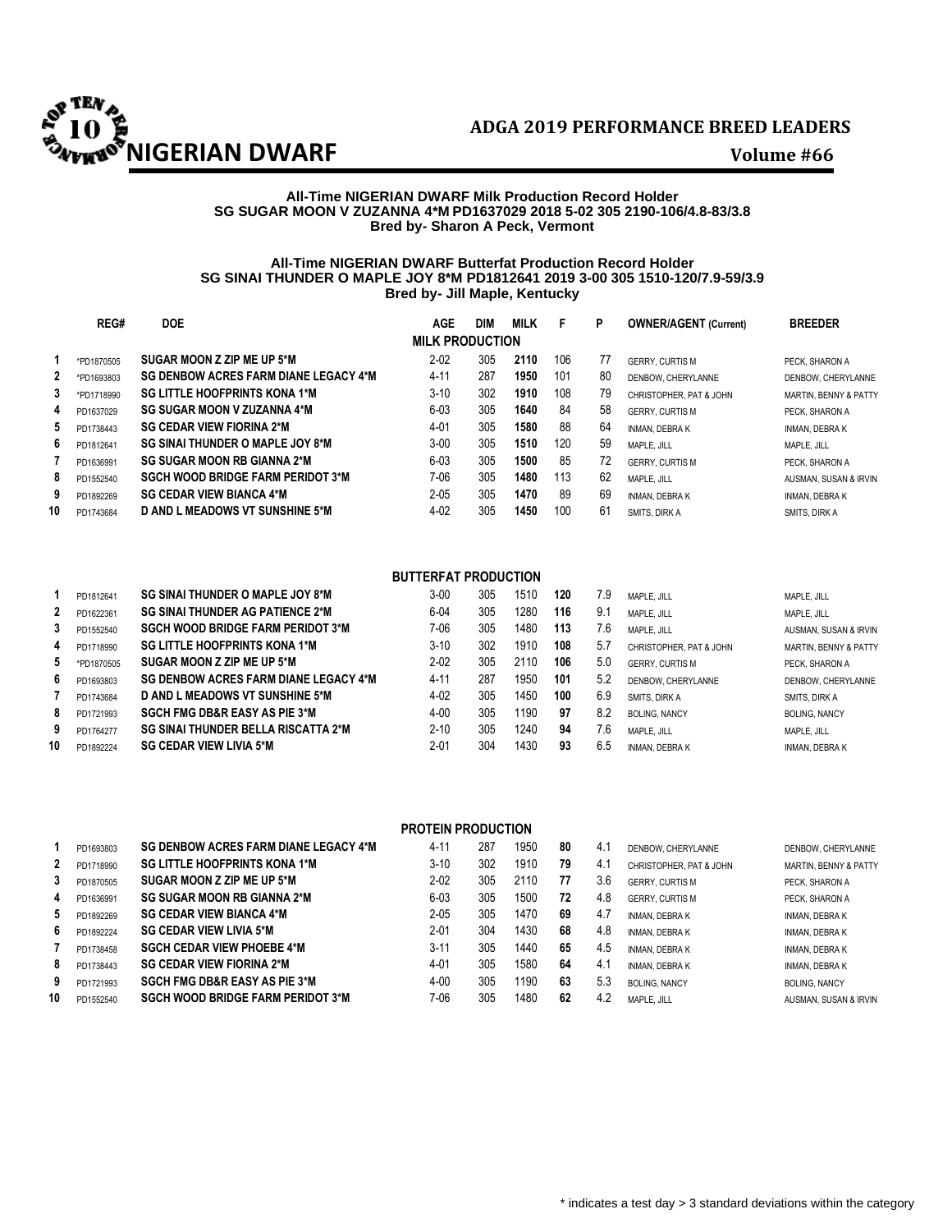

### **All-Time NIGERIAN DWARF Milk Production Record Holder SG SUGAR MOON V ZUZANNA 4\*M PD1637029 2018 5-02 305 2190-106/4.8-83/3.8 Bred by- Sharon A Peck, Vermont**

## **All-Time NIGERIAN DWARF Butterfat Production Record Holder SG SINAI THUNDER O MAPLE JOY 8\*M PD1812641 2019 3-00 305 1510-120/7.9-59/3.9 Bred by- Jill Maple, Kentucky**

|              | REG#       | <b>DOE</b>                                   | <b>AGE</b>             | <b>DIM</b> | <b>MILK</b> | F   | Р  | <b>OWNER/AGENT (Current)</b> | <b>BREEDER</b>                   |
|--------------|------------|----------------------------------------------|------------------------|------------|-------------|-----|----|------------------------------|----------------------------------|
|              |            |                                              | <b>MILK PRODUCTION</b> |            |             |     |    |                              |                                  |
|              | *PD1870505 | SUGAR MOON Z ZIP ME UP 5*M                   | $2 - 02$               | 305        | 2110        | 106 | 77 | <b>GERRY, CURTIS M</b>       | PECK. SHARON A                   |
| $\mathbf{2}$ | *PD1693803 | <b>SG DENBOW ACRES FARM DIANE LEGACY 4*M</b> | $4 - 11$               | 287        | 1950        | 101 | 80 | DENBOW, CHERYLANNE           | DENBOW, CHERYLANNE               |
| 3            | *PD1718990 | <b>SG LITTLE HOOFPRINTS KONA 1*M</b>         | $3 - 10$               | 302        | 1910        | 108 | 79 | CHRISTOPHER, PAT & JOHN      | <b>MARTIN, BENNY &amp; PATTY</b> |
| 4            | PD1637029  | <b>SG SUGAR MOON V ZUZANNA 4*M</b>           | $6 - 03$               | 305        | 1640        | 84  | 58 | <b>GERRY, CURTIS M</b>       | PECK. SHARON A                   |
| 5            | PD1738443  | <b>SG CEDAR VIEW FIORINA 2*M</b>             | 4-01                   | 305        | 1580        | 88  | 64 | <b>INMAN, DEBRAK</b>         | <b>INMAN, DEBRAK</b>             |
| 6            | PD1812641  | SG SINAI THUNDER O MAPLE JOY 8*M             | $3 - 00$               | 305        | 1510        | 120 | 59 | MAPLE, JILL                  | MAPLE, JILL                      |
|              | PD1636991  | <b>SG SUGAR MOON RB GIANNA 2*M</b>           | $6 - 03$               | 305        | 1500        | 85  | 72 | <b>GERRY, CURTIS M</b>       | PECK. SHARON A                   |
| 8            | PD1552540  | <b>SGCH WOOD BRIDGE FARM PERIDOT 3*M</b>     | 7-06                   | 305        | 1480        | 113 | 62 | MAPLE, JILL                  | AUSMAN, SUSAN & IRVIN            |
| 9            | PD1892269  | <b>SG CEDAR VIEW BIANCA 4*M</b>              | $2 - 05$               | 305        | 1470        | 89  | 69 | <b>INMAN, DEBRAK</b>         | <b>INMAN, DEBRAK</b>             |
| 10           | PD1743684  | <b>D AND L MEADOWS VT SUNSHINE 5*M</b>       | $4 - 02$               | 305        | 1450        | 100 | 61 | SMITS, DIRK A                | SMITS, DIRK A                    |

## **BUTTERFAT PRODUCTION**

|    | PD1812641  | SG SINAI THUNDER O MAPLE JOY 8*M             | $3 - 00$ | 305 | 1510 | 120 | 7.9 | MAPLE, JILL             | MAPLE, JILL                      |
|----|------------|----------------------------------------------|----------|-----|------|-----|-----|-------------------------|----------------------------------|
| 2  | PD1622361  | <b>SG SINAI THUNDER AG PATIENCE 2*M</b>      | $6 - 04$ | 305 | 1280 | 116 | 9.1 | MAPLE, JILL             | MAPLE, JILL                      |
| 3  | PD1552540  | <b>SGCH WOOD BRIDGE FARM PERIDOT 3*M</b>     | 7-06     | 305 | 1480 | 113 | 7.6 | MAPLE, JILL             | AUSMAN, SUSAN & IRVIN            |
| 4  | PD1718990  | <b>SG LITTLE HOOFPRINTS KONA 1*M</b>         | $3-10$   | 302 | 1910 | 108 | 5.7 | CHRISTOPHER, PAT & JOHN | <b>MARTIN, BENNY &amp; PATTY</b> |
| 5  | *PD1870505 | SUGAR MOON Z ZIP ME UP 5*M                   | $2 - 02$ | 305 | 2110 | 106 | 5.0 | <b>GERRY, CURTIS M</b>  | PECK. SHARON A                   |
| 6  | PD1693803  | <b>SG DENBOW ACRES FARM DIANE LEGACY 4*M</b> | 4-11     | 287 | 1950 | 101 | 5.2 | DENBOW, CHERYLANNE      | DENBOW, CHERYLANNE               |
|    | PD1743684  | D AND L MEADOWS VT SUNSHINE 5*M              | $4 - 02$ | 305 | 1450 | 100 | 6.9 | SMITS, DIRK A           | SMITS, DIRK A                    |
| 8  | PD1721993  | <b>SGCH FMG DB&amp;R EASY AS PIE 3*M</b>     | $4 - 00$ | 305 | 1190 | 97  | 8.2 | <b>BOLING, NANCY</b>    | <b>BOLING, NANCY</b>             |
| 9  | PD1764277  | <b>SG SINAI THUNDER BELLA RISCATTA 2*M</b>   | $2 - 10$ | 305 | 1240 | 94  | 7.6 | MAPLE, JILL             | MAPLE, JILL                      |
| 10 | PD1892224  | <b>SG CEDAR VIEW LIVIA 5*M</b>               | $2 - 01$ | 304 | 1430 | 93  | 6.5 | <b>INMAN, DEBRAK</b>    | INMAN, DEBRA K                   |

|    | <b>PROTEIN PRODUCTION</b> |                                              |          |     |      |    |     |                         |                                  |  |  |  |
|----|---------------------------|----------------------------------------------|----------|-----|------|----|-----|-------------------------|----------------------------------|--|--|--|
|    | PD1693803                 | <b>SG DENBOW ACRES FARM DIANE LEGACY 4*M</b> | $4 - 1'$ | 287 | 1950 | 80 | 4.1 | DENBOW, CHERYLANNE      | DENBOW, CHERYLANNE               |  |  |  |
| 2  | PD1718990                 | <b>SG LITTLE HOOFPRINTS KONA 1*M</b>         | $3 - 10$ | 302 | 1910 | 79 | 4.1 | CHRISTOPHER, PAT & JOHN | <b>MARTIN, BENNY &amp; PATTY</b> |  |  |  |
| 3  | PD1870505                 | SUGAR MOON Z ZIP ME UP 5*M                   | $2 - 02$ | 305 | 2110 | 77 | 3.6 | <b>GERRY, CURTIS M</b>  | PECK. SHARON A                   |  |  |  |
| 4  | PD1636991                 | <b>SG SUGAR MOON RB GIANNA 2*M</b>           | $6 - 03$ | 305 | 1500 | 72 | 4.8 | <b>GERRY, CURTIS M</b>  | PECK. SHARON A                   |  |  |  |
| 5  | PD1892269                 | <b>SG CEDAR VIEW BIANCA 4*M</b>              | $2 - 05$ | 305 | 1470 | 69 | 4.7 | <b>INMAN, DEBRAK</b>    | <b>INMAN, DEBRA K</b>            |  |  |  |
| 6  | PD1892224                 | <b>SG CEDAR VIEW LIVIA 5*M</b>               | $2 - 01$ | 304 | 1430 | 68 | 4.8 | <b>INMAN, DEBRAK</b>    | <b>INMAN, DEBRA K</b>            |  |  |  |
|    | PD1738458                 | <b>SGCH CEDAR VIEW PHOEBE 4*M</b>            | $3 - 11$ | 305 | 1440 | 65 | 4.5 | <b>INMAN, DEBRAK</b>    | <b>INMAN, DEBRA K</b>            |  |  |  |
| 8  | PD1738443                 | <b>SG CEDAR VIEW FIORINA 2*M</b>             | 4-01     | 305 | 1580 | 64 | 4.1 | <b>INMAN, DEBRAK</b>    | <b>INMAN, DEBRA K</b>            |  |  |  |
| 9  | PD1721993                 | <b>SGCH FMG DB&amp;R EASY AS PIE 3*M</b>     | $4 - 00$ | 305 | 1190 | 63 | 5.3 | <b>BOLING, NANCY</b>    | <b>BOLING, NANCY</b>             |  |  |  |
| 10 | PD1552540                 | <b>SGCH WOOD BRIDGE FARM PERIDOT 3*M</b>     | 7-06     | 305 | 1480 | 62 | 4.2 | MAPLE, JILL             | AUSMAN, SUSAN & IRVIN            |  |  |  |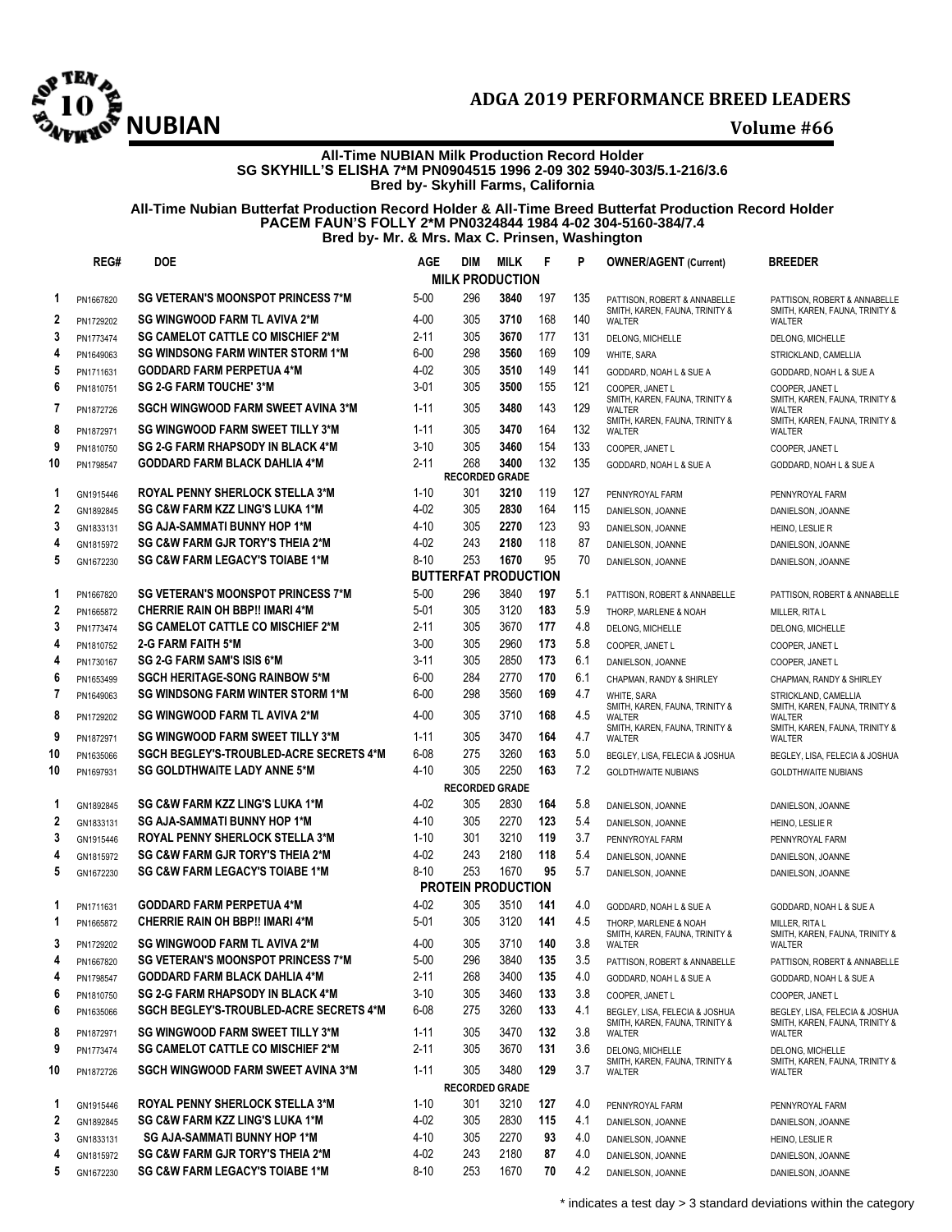

## **All-Time NUBIAN Milk Production Record Holder SG SKYHILL'S ELISHA 7\*M PN0904515 1996 2-09 302 5940-303/5.1-216/3.6 Bred by- Skyhill Farms, California**

### **All-Time Nubian Butterfat Production Record Holder & All-Time Breed Butterfat Production Record Holder PACEM FAUN'S FOLLY 2\*M PN0324844 1984 4-02 304-5160-384/7.4 Bred by- Mr. & Mrs. Max C. Prinsen, Washington**

|                  | REG#      | DOE                                                                         | <b>AGE</b> | DIM | <b>MILK</b>                   | F   | P   | <b>OWNER/AGENT (Current)</b>                                               | <b>BREEDER</b>                                                                    |
|------------------|-----------|-----------------------------------------------------------------------------|------------|-----|-------------------------------|-----|-----|----------------------------------------------------------------------------|-----------------------------------------------------------------------------------|
|                  |           |                                                                             |            |     | <b>MILK PRODUCTION</b>        |     |     |                                                                            |                                                                                   |
| 1                | PN1667820 | <b>SG VETERAN'S MOONSPOT PRINCESS 7*M</b>                                   | $5 - 00$   | 296 | 3840                          | 197 | 135 | PATTISON, ROBERT & ANNABELLE<br>SMITH, KAREN, FAUNA, TRINITY &             | PATTISON. ROBERT & ANNABELLE<br>SMITH, KAREN, FAUNA, TRINITY &                    |
| 2                | PN1729202 | <b>SG WINGWOOD FARM TL AVIVA 2*M</b>                                        | 4-00       | 305 | 3710                          | 168 | 140 | WALTER                                                                     | WALTER                                                                            |
| 3                | PN1773474 | <b>SG CAMELOT CATTLE CO MISCHIEF 2*M</b>                                    | $2 - 11$   | 305 | 3670                          | 177 | 131 | DELONG, MICHELLE                                                           | DELONG, MICHELLE                                                                  |
| 4                | PN1649063 | <b>SG WINDSONG FARM WINTER STORM 1*M</b>                                    | $6 - 00$   | 298 | 3560                          | 169 | 109 | WHITE, SARA                                                                | STRICKLAND, CAMELLIA                                                              |
| 5                | PN1711631 | <b>GODDARD FARM PERPETUA 4*M</b>                                            | 4-02       | 305 | 3510                          | 149 | 141 | GODDARD, NOAH L & SUE A                                                    | GODDARD, NOAH L & SUE A                                                           |
| 6                | PN1810751 | <b>SG 2-G FARM TOUCHE' 3*M</b>                                              | $3 - 01$   | 305 | 3500                          | 155 | 121 | COOPER, JANET L                                                            | COOPER, JANET L                                                                   |
| 7                | PN1872726 | <b>SGCH WINGWOOD FARM SWEET AVINA 3*M</b>                                   | $1 - 11$   | 305 | 3480                          | 143 | 129 | SMITH, KAREN, FAUNA, TRINITY &<br>WALTER<br>SMITH, KAREN, FAUNA, TRINITY & | SMITH, KAREN, FAUNA, TRINITY &<br><b>WALTER</b><br>SMITH, KAREN, FAUNA, TRINITY & |
| 8                | PN1872971 | <b>SG WINGWOOD FARM SWEET TILLY 3*M</b>                                     | $1 - 11$   | 305 | 3470                          | 164 | 132 | <b>WALTER</b>                                                              | WALTER                                                                            |
| 9                | PN1810750 | <b>SG 2-G FARM RHAPSODY IN BLACK 4*M</b>                                    | $3 - 10$   | 305 | 3460                          | 154 | 133 | COOPER, JANET L                                                            | COOPER, JANET L                                                                   |
| 10               | PN1798547 | <b>GODDARD FARM BLACK DAHLIA 4*M</b>                                        | $2 - 11$   | 268 | 3400<br><b>RECORDED GRADE</b> | 132 | 135 | GODDARD, NOAH L & SUE A                                                    | GODDARD, NOAH L & SUE A                                                           |
| 1                | GN1915446 | <b>ROYAL PENNY SHERLOCK STELLA 3*M</b>                                      | $1 - 10$   | 301 | 3210                          | 119 | 127 | PENNYROYAL FARM                                                            | PENNYROYAL FARM                                                                   |
| 2                | GN1892845 | SG C&W FARM KZZ LING'S LUKA 1*M                                             | 4-02       | 305 | 2830                          | 164 | 115 | DANIELSON, JOANNE                                                          | DANIELSON, JOANNE                                                                 |
| 3                | GN1833131 | <b>SG AJA-SAMMATI BUNNY HOP 1*M</b>                                         | 4-10       | 305 | 2270                          | 123 | 93  | DANIELSON, JOANNE                                                          | HEINO, LESLIE R                                                                   |
| 4                | GN1815972 | <b>SG C&amp;W FARM GJR TORY'S THEIA 2*M</b>                                 | 4-02       | 243 | 2180                          | 118 | 87  | DANIELSON, JOANNE                                                          | DANIELSON, JOANNE                                                                 |
| 5                | GN1672230 | <b>SG C&amp;W FARM LEGACY'S TOIABE 1*M</b>                                  | $8 - 10$   | 253 | 1670                          | 95  | 70  | DANIELSON, JOANNE                                                          | DANIELSON, JOANNE                                                                 |
|                  |           |                                                                             |            |     | <b>BUTTERFAT PRODUCTION</b>   |     |     |                                                                            |                                                                                   |
| 1                | PN1667820 | <b>SG VETERAN'S MOONSPOT PRINCESS 7*M</b>                                   | $5 - 00$   | 296 | 3840                          | 197 | 5.1 | PATTISON, ROBERT & ANNABELLE                                               | PATTISON, ROBERT & ANNABELLE                                                      |
| $\overline{2}$   | PN1665872 | <b>CHERRIE RAIN OH BBP!! IMARI 4*M</b>                                      | $5 - 01$   | 305 | 3120                          | 183 | 5.9 | THORP, MARLENE & NOAH                                                      | MILLER, RITA L                                                                    |
| 3                | PN1773474 | <b>SG CAMELOT CATTLE CO MISCHIEF 2*M</b>                                    | $2 - 11$   | 305 | 3670                          | 177 | 4.8 | DELONG, MICHELLE                                                           | DELONG, MICHELLE                                                                  |
| 4                | PN1810752 | 2-G FARM FAITH 5*M                                                          | $3 - 00$   | 305 | 2960                          | 173 | 5.8 | COOPER, JANET L                                                            | COOPER, JANET L                                                                   |
| 4                | PN1730167 | SG 2-G FARM SAM'S ISIS 6*M                                                  | $3 - 11$   | 305 | 2850                          | 173 | 6.1 | DANIELSON, JOANNE                                                          | COOPER, JANET L                                                                   |
| 6                | PN1653499 | <b>SGCH HERITAGE-SONG RAINBOW 5*M</b>                                       | $6 - 00$   | 284 | 2770                          | 170 | 6.1 | CHAPMAN, RANDY & SHIRLEY                                                   | CHAPMAN, RANDY & SHIRLEY                                                          |
| $\overline{7}$   | PN1649063 | <b>SG WINDSONG FARM WINTER STORM 1*M</b>                                    | $6 - 00$   | 298 | 3560                          | 169 | 4.7 | WHITE, SARA                                                                | STRICKLAND, CAMELLIA                                                              |
| 8                | PN1729202 | <b>SG WINGWOOD FARM TL AVIVA 2*M</b>                                        | 4-00       | 305 | 3710                          | 168 | 4.5 | SMITH, KAREN, FAUNA, TRINITY &<br>WALTER<br>SMITH, KAREN, FAUNA, TRINITY & | SMITH, KAREN, FAUNA, TRINITY &<br>WALTER<br>SMITH, KAREN, FAUNA, TRINITY &        |
| 9                | PN1872971 | <b>SG WINGWOOD FARM SWEET TILLY 3*M</b>                                     | $1 - 11$   | 305 | 3470                          | 164 | 4.7 | <b>WALTER</b>                                                              | WALTER                                                                            |
| 10               | PN1635066 | <b>SGCH BEGLEY'S-TROUBLED-ACRE SECRETS 4*M</b>                              | $6 - 08$   | 275 | 3260                          | 163 | 5.0 | BEGLEY, LISA, FELECIA & JOSHUA                                             | BEGLEY, LISA, FELECIA & JOSHUA                                                    |
| 10               | PN1697931 | <b>SG GOLDTHWAITE LADY ANNE 5*M</b>                                         | 4-10       | 305 | 2250                          | 163 | 7.2 | <b>GOLDTHWAITE NUBIANS</b>                                                 | <b>GOLDTHWAITE NUBIANS</b>                                                        |
|                  |           |                                                                             |            |     | <b>RECORDED GRADE</b>         |     |     |                                                                            |                                                                                   |
| 1                | GN1892845 | <b>SG C&amp;W FARM KZZ LING'S LUKA 1*M</b>                                  | 4-02       | 305 | 2830                          | 164 | 5.8 | DANIELSON, JOANNE                                                          | DANIELSON, JOANNE                                                                 |
| $\boldsymbol{2}$ | GN1833131 | <b>SG AJA-SAMMATI BUNNY HOP 1*M</b>                                         | 4-10       | 305 | 2270                          | 123 | 5.4 | DANIELSON, JOANNE                                                          | HEINO, LESLIE R                                                                   |
| 3                | GN1915446 | <b>ROYAL PENNY SHERLOCK STELLA 3*M</b>                                      | $1 - 10$   | 301 | 3210                          | 119 | 3.7 | PENNYROYAL FARM                                                            | PENNYROYAL FARM                                                                   |
| 4                | GN1815972 | <b>SG C&amp;W FARM GJR TORY'S THEIA 2*M</b>                                 | 4-02       | 243 | 2180                          | 118 | 5.4 | DANIELSON, JOANNE                                                          | DANIELSON, JOANNE                                                                 |
| 5                | GN1672230 | <b>SG C&amp;W FARM LEGACY'S TOIABE 1*M</b>                                  | $8 - 10$   | 253 | 1670                          | 95  | 5.7 | DANIELSON, JOANNE                                                          | DANIELSON, JOANNE                                                                 |
|                  |           |                                                                             |            |     | PROTEIN PRODUCTION            |     |     |                                                                            |                                                                                   |
| 1                | PN1711631 | <b>GODDARD FARM PERPETUA 4*M</b>                                            | 4-02       | 305 | 3510                          | 141 | 4.0 | GODDARD, NOAH L & SUE A                                                    | GODDARD, NOAH L & SUE A                                                           |
| 1                | PN1665872 | <b>CHERRIE RAIN OH BBP!! IMARI 4*M</b>                                      | 5-01       | 305 | 3120                          | 141 | 4.5 | THORP, MARLENE & NOAH<br>SMITH, KAREN, FAUNA, TRINITY &                    | MILLER, RITA L<br>SMITH, KAREN, FAUNA, TRINITY &                                  |
| 3                | PN1729202 | <b>SG WINGWOOD FARM TL AVIVA 2*M</b>                                        | 4-00       | 305 | 3710                          | 140 | 3.8 | WALTER                                                                     | WALTER                                                                            |
| 4                | PN1667820 | <b>SG VETERAN'S MOONSPOT PRINCESS 7*M</b>                                   | 5-00       | 296 | 3840                          | 135 | 3.5 | PATTISON, ROBERT & ANNABELLE                                               | PATTISON, ROBERT & ANNABELLE                                                      |
| 4                | PN1798547 | <b>GODDARD FARM BLACK DAHLIA 4*M</b>                                        | 2-11       | 268 | 3400                          | 135 | 4.0 | GODDARD, NOAH L & SUE A                                                    | GODDARD, NOAH L & SUE A                                                           |
| 6                | PN1810750 | <b>SG 2-G FARM RHAPSODY IN BLACK 4*M</b>                                    | $3-10$     | 305 | 3460                          | 133 | 3.8 | COOPER, JANET L                                                            | COOPER, JANET L                                                                   |
| 6                | PN1635066 | <b>SGCH BEGLEY'S-TROUBLED-ACRE SECRETS 4*M</b>                              | 6-08       | 275 | 3260                          | 133 | 4.1 | BEGLEY, LISA, FELECIA & JOSHUA                                             | BEGLEY, LISA, FELECIA & JOSHUA                                                    |
| 8                | PN1872971 | <b>SG WINGWOOD FARM SWEET TILLY 3*M</b>                                     | $1 - 11$   | 305 | 3470                          | 132 | 3.8 | SMITH, KAREN, FAUNA, TRINITY &<br>WALTER                                   | SMITH, KAREN, FAUNA, TRINITY &<br>WALTER                                          |
| 9                | PN1773474 | <b>SG CAMELOT CATTLE CO MISCHIEF 2*M</b>                                    | $2 - 11$   | 305 | 3670                          | 131 | 3.6 | DELONG, MICHELLE                                                           | DELONG, MICHELLE                                                                  |
|                  |           |                                                                             |            |     |                               |     |     | SMITH, KAREN, FAUNA, TRINITY &                                             | SMITH, KAREN, FAUNA, TRINITY &                                                    |
| 10               | PN1872726 | <b>SGCH WINGWOOD FARM SWEET AVINA 3*M</b>                                   | 1-11       | 305 | 3480                          | 129 | 3.7 | WALTER                                                                     | WALTER                                                                            |
|                  |           |                                                                             |            |     | <b>RECORDED GRADE</b>         |     |     |                                                                            |                                                                                   |
| 1                | GN1915446 | <b>ROYAL PENNY SHERLOCK STELLA 3*M</b>                                      | $1 - 10$   | 301 | 3210                          | 127 | 4.0 | PENNYROYAL FARM                                                            | PENNYROYAL FARM                                                                   |
| 2                | GN1892845 | <b>SG C&amp;W FARM KZZ LING'S LUKA 1*M</b>                                  | 4-02       | 305 | 2830                          | 115 | 4.1 | DANIELSON, JOANNE                                                          | DANIELSON, JOANNE                                                                 |
| 3                | GN1833131 | SG AJA-SAMMATI BUNNY HOP 1*M<br><b>SG C&amp;W FARM GJR TORY'S THEIA 2*M</b> | 4-10       | 305 | 2270                          | 93  | 4.0 | DANIELSON, JOANNE                                                          | HEINO, LESLIE R                                                                   |
| 4                | GN1815972 |                                                                             | 4-02       | 243 | 2180                          | 87  | 4.0 | DANIELSON, JOANNE                                                          | DANIELSON, JOANNE                                                                 |
| 5                | GN1672230 | SG C&W FARM LEGACY'S TOIABE 1*M                                             | $8 - 10$   | 253 | 1670                          | 70  | 4.2 | DANIELSON, JOANNE                                                          | DANIELSON, JOANNE                                                                 |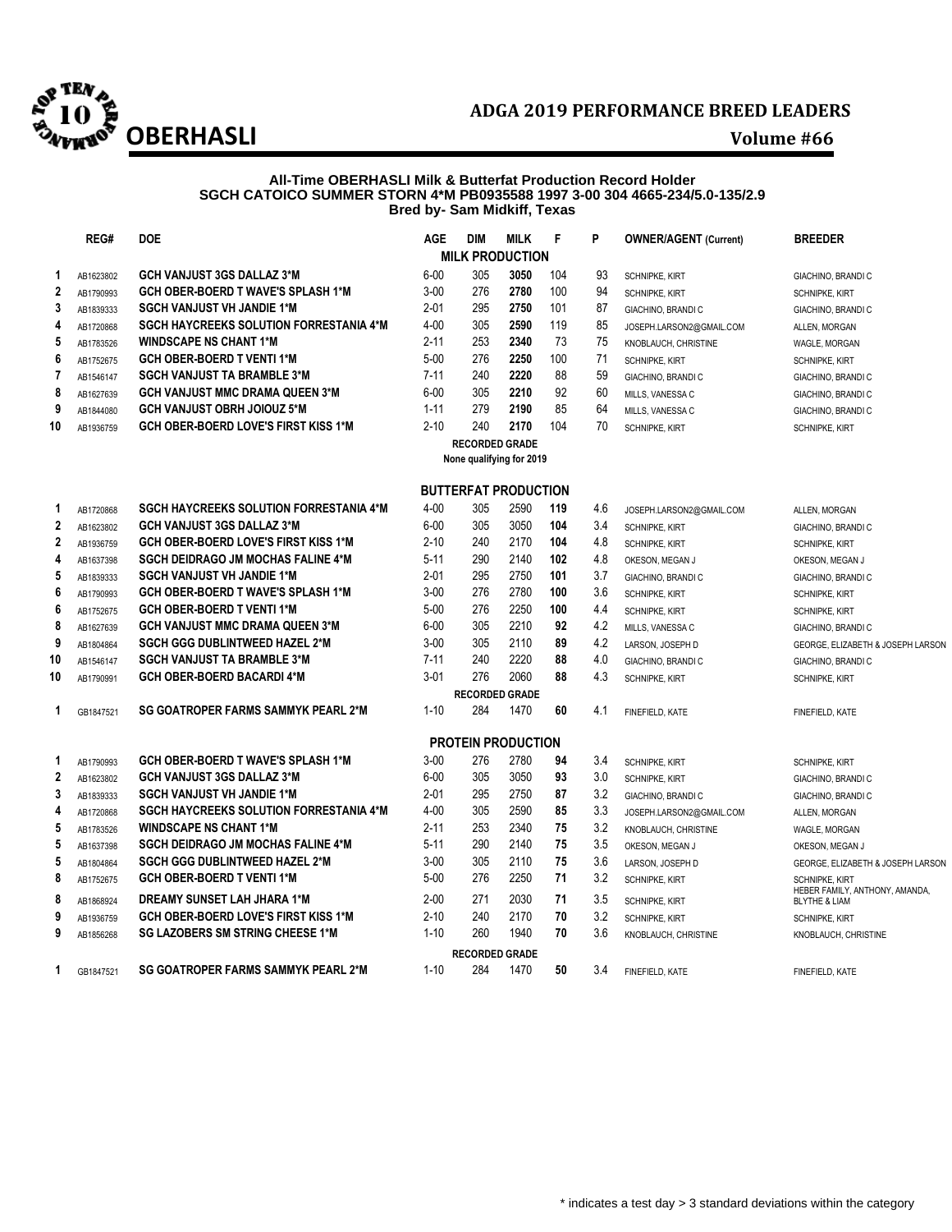

### **All-Time OBERHASLI Milk & Butterfat Production Record Holder SGCH CATOICO SUMMER STORN 4\*M PB0935588 1997 3-00 304 4665-234/5.0-135/2.9 Bred by- Sam Midkiff, Texas**

|                  | REG#      | <b>DOE</b>                                     | <b>AGE</b> | <b>DIM</b>                  | <b>MILK</b> | F   | P   | <b>OWNER/AGENT (Current)</b> | <b>BREEDER</b>                                             |
|------------------|-----------|------------------------------------------------|------------|-----------------------------|-------------|-----|-----|------------------------------|------------------------------------------------------------|
|                  |           |                                                |            | <b>MILK PRODUCTION</b>      |             |     |     |                              |                                                            |
| 1                | AB1623802 | <b>GCH VANJUST 3GS DALLAZ 3*M</b>              | $6 - 00$   | 305                         | 3050        | 104 | 93  | <b>SCHNIPKE, KIRT</b>        | GIACHINO, BRANDI C                                         |
| $\boldsymbol{2}$ | AB1790993 | <b>GCH OBER-BOERD T WAVE'S SPLASH 1*M</b>      | $3 - 00$   | 276                         | 2780        | 100 | 94  | SCHNIPKE, KIRT               | SCHNIPKE, KIRT                                             |
| 3                | AB1839333 | <b>SGCH VANJUST VH JANDIE 1*M</b>              | $2 - 01$   | 295                         | 2750        | 101 | 87  | GIACHINO, BRANDI C           | GIACHINO, BRANDI C                                         |
| 4                | AB1720868 | <b>SGCH HAYCREEKS SOLUTION FORRESTANIA 4*M</b> | $4 - 00$   | 305                         | 2590        | 119 | 85  | JOSEPH.LARSON2@GMAIL.COM     | ALLEN, MORGAN                                              |
| 5                | AB1783526 | <b>WINDSCAPE NS CHANT 1*M</b>                  | $2 - 11$   | 253                         | 2340        | 73  | 75  | KNOBLAUCH, CHRISTINE         | WAGLE, MORGAN                                              |
| 6                | AB1752675 | <b>GCH OBER-BOERD T VENTI 1*M</b>              | $5 - 00$   | 276                         | 2250        | 100 | 71  | <b>SCHNIPKE, KIRT</b>        | <b>SCHNIPKE, KIRT</b>                                      |
| 7                | AB1546147 | <b>SGCH VANJUST TA BRAMBLE 3*M</b>             | $7 - 11$   | 240                         | 2220        | 88  | 59  | GIACHINO, BRANDI C           | GIACHINO, BRANDI C                                         |
| 8                | AB1627639 | <b>GCH VANJUST MMC DRAMA QUEEN 3*M</b>         | $6 - 00$   | 305                         | 2210        | 92  | 60  | MILLS, VANESSA C             | GIACHINO, BRANDI C                                         |
| 9                | AB1844080 | <b>GCH VANJUST OBRH JOIOUZ 5*M</b>             | $1 - 11$   | 279                         | 2190        | 85  | 64  | MILLS. VANESSA C             | GIACHINO, BRANDI C                                         |
| 10               | AB1936759 | <b>GCH OBER-BOERD LOVE'S FIRST KISS 1*M</b>    | $2 - 10$   | 240                         | 2170        | 104 | 70  | <b>SCHNIPKE, KIRT</b>        | SCHNIPKE, KIRT                                             |
|                  |           |                                                |            | <b>RECORDED GRADE</b>       |             |     |     |                              |                                                            |
|                  |           |                                                |            | None qualifying for 2019    |             |     |     |                              |                                                            |
|                  |           |                                                |            | <b>BUTTERFAT PRODUCTION</b> |             |     |     |                              |                                                            |
| 1                | AB1720868 | <b>SGCH HAYCREEKS SOLUTION FORRESTANIA 4*M</b> | $4 - 00$   | 305                         | 2590        | 119 | 4.6 | JOSEPH.LARSON2@GMAIL.COM     | ALLEN. MORGAN                                              |
| $\overline{2}$   | AB1623802 | <b>GCH VANJUST 3GS DALLAZ 3*M</b>              | $6 - 00$   | 305                         | 3050        | 104 | 3.4 | <b>SCHNIPKE, KIRT</b>        | GIACHINO, BRANDI C                                         |
| $\mathbf 2$      | AB1936759 | <b>GCH OBER-BOERD LOVE'S FIRST KISS 1*M</b>    | $2 - 10$   | 240                         | 2170        | 104 | 4.8 | <b>SCHNIPKE, KIRT</b>        | SCHNIPKE, KIRT                                             |
| 4                | AB1637398 | <b>SGCH DEIDRAGO JM MOCHAS FALINE 4*M</b>      | $5 - 11$   | 290                         | 2140        | 102 | 4.8 | OKESON, MEGAN J              | OKESON, MEGAN J                                            |
| 5                | AB1839333 | <b>SGCH VANJUST VH JANDIE 1*M</b>              | $2 - 01$   | 295                         | 2750        | 101 | 3.7 | GIACHINO, BRANDI C           | GIACHINO, BRANDI C                                         |
| 6                | AB1790993 | <b>GCH OBER-BOERD T WAVE'S SPLASH 1*M</b>      | $3 - 00$   | 276                         | 2780        | 100 | 3.6 | <b>SCHNIPKE, KIRT</b>        | SCHNIPKE, KIRT                                             |
| 6                | AB1752675 | <b>GCH OBER-BOERD T VENTI 1*M</b>              | $5 - 00$   | 276                         | 2250        | 100 | 4.4 | <b>SCHNIPKE, KIRT</b>        | <b>SCHNIPKE, KIRT</b>                                      |
| 8                | AB1627639 | <b>GCH VANJUST MMC DRAMA QUEEN 3*M</b>         | $6 - 00$   | 305                         | 2210        | 92  | 4.2 | MILLS, VANESSA C             | GIACHINO, BRANDI C                                         |
| 9                | AB1804864 | <b>SGCH GGG DUBLINTWEED HAZEL 2*M</b>          | $3 - 00$   | 305                         | 2110        | 89  | 4.2 | LARSON, JOSEPH D             | GEORGE, ELIZABETH & JOSEPH LARSON                          |
| 10               | AB1546147 | <b>SGCH VANJUST TA BRAMBLE 3*M</b>             | $7 - 11$   | 240                         | 2220        | 88  | 4.0 | GIACHINO, BRANDI C           | GIACHINO, BRANDI C                                         |
| 10               | AB1790991 | <b>GCH OBER-BOERD BACARDI 4*M</b>              | $3 - 01$   | 276                         | 2060        | 88  | 4.3 | <b>SCHNIPKE, KIRT</b>        | SCHNIPKE, KIRT                                             |
|                  |           |                                                |            | <b>RECORDED GRADE</b>       |             |     |     |                              |                                                            |
| 1                | GB1847521 | SG GOATROPER FARMS SAMMYK PEARL 2*M            | $1 - 10$   | 284                         | 1470        | 60  | 4.1 | FINEFIELD, KATE              | FINEFIELD, KATE                                            |
|                  |           |                                                |            | PROTEIN PRODUCTION          |             |     |     |                              |                                                            |
| 1                | AB1790993 | <b>GCH OBER-BOERD T WAVE'S SPLASH 1*M</b>      | $3 - 00$   | 276                         | 2780        | 94  | 3.4 | <b>SCHNIPKE, KIRT</b>        | <b>SCHNIPKE, KIRT</b>                                      |
| $\overline{2}$   | AB1623802 | <b>GCH VANJUST 3GS DALLAZ 3*M</b>              | $6 - 00$   | 305                         | 3050        | 93  | 3.0 | <b>SCHNIPKE, KIRT</b>        | GIACHINO, BRANDI C                                         |
| 3                | AB1839333 | <b>SGCH VANJUST VH JANDIE 1*M</b>              | $2 - 01$   | 295                         | 2750        | 87  | 3.2 | GIACHINO, BRANDI C           | GIACHINO, BRANDI C                                         |
| 4                | AB1720868 | <b>SGCH HAYCREEKS SOLUTION FORRESTANIA 4*M</b> | $4 - 00$   | 305                         | 2590        | 85  | 3.3 | JOSEPH.LARSON2@GMAIL.COM     | ALLEN, MORGAN                                              |
| 5                | AB1783526 | <b>WINDSCAPE NS CHANT 1*M</b>                  | $2 - 11$   | 253                         | 2340        | 75  | 3.2 | KNOBLAUCH, CHRISTINE         | WAGLE, MORGAN                                              |
| 5                | AB1637398 | <b>SGCH DEIDRAGO JM MOCHAS FALINE 4*M</b>      | $5 - 11$   | 290                         | 2140        | 75  | 3.5 | OKESON, MEGAN J              | OKESON, MEGAN J                                            |
| 5                | AB1804864 | <b>SGCH GGG DUBLINTWEED HAZEL 2*M</b>          | $3 - 00$   | 305                         | 2110        | 75  | 3.6 | LARSON, JOSEPH D             | GEORGE, ELIZABETH & JOSEPH LARSON                          |
| 8                | AB1752675 | <b>GCH OBER-BOERD T VENTI 1*M</b>              | $5 - 00$   | 276                         | 2250        | 71  | 3.2 | <b>SCHNIPKE, KIRT</b>        | <b>SCHNIPKE, KIRT</b>                                      |
| 8                | AB1868924 | DREAMY SUNSET LAH JHARA 1*M                    | $2 - 00$   | 271                         | 2030        | 71  | 3.5 | <b>SCHNIPKE, KIRT</b>        | HEBER FAMILY, ANTHONY, AMANDA,<br><b>BLYTHE &amp; LIAM</b> |
| 9                | AB1936759 | <b>GCH OBER-BOERD LOVE'S FIRST KISS 1*M</b>    | $2 - 10$   | 240                         | 2170        | 70  | 3.2 | <b>SCHNIPKE, KIRT</b>        | SCHNIPKE, KIRT                                             |
| 9                | AB1856268 | <b>SG LAZOBERS SM STRING CHEESE 1*M</b>        | $1 - 10$   | 260                         | 1940        | 70  | 3.6 | KNOBLAUCH, CHRISTINE         | KNOBLAUCH, CHRISTINE                                       |
|                  |           |                                                |            | <b>RECORDED GRADE</b>       |             |     |     |                              |                                                            |
| 1                | GB1847521 | <b>SG GOATROPER FARMS SAMMYK PEARL 2*M</b>     | $1 - 10$   | 284                         | 1470        | 50  | 3.4 | FINEFIELD, KATE              | FINEFIELD, KATE                                            |
|                  |           |                                                |            |                             |             |     |     |                              |                                                            |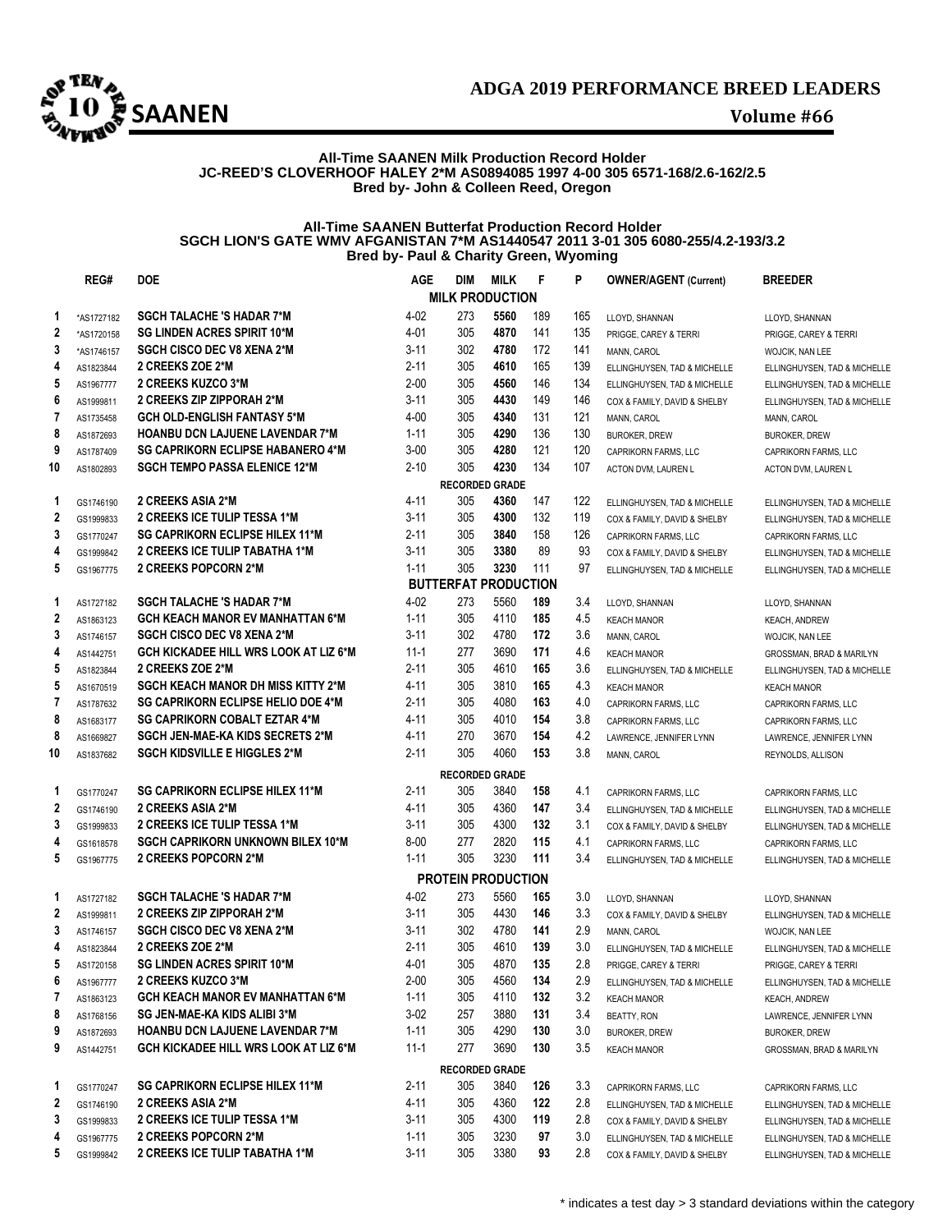

### **All-Time SAANEN Milk Production Record Holder JC-REED'S CLOVERHOOF HALEY 2\*M AS0894085 1997 4-00 305 6571-168/2.6-162/2.5 Bred by- John & Colleen Reed, Oregon**

### **All-Time SAANEN Butterfat Production Record Holder SGCH LION'S GATE WMV AFGANISTAN 7\*M AS1440547 2011 3-01 305 6080-255/4.2-193/3.2 Bred by- Paul & Charity Green, Wyoming**

|                         | REG#       | <b>DOE</b>                                | <b>AGE</b> | DIM                         | <b>MILK</b> | F   | P   | <b>OWNER/AGENT (Current)</b> | <b>BREEDER</b>               |
|-------------------------|------------|-------------------------------------------|------------|-----------------------------|-------------|-----|-----|------------------------------|------------------------------|
|                         |            |                                           |            | <b>MILK PRODUCTION</b>      |             |     |     |                              |                              |
| 1                       | *AS1727182 | <b>SGCH TALACHE 'S HADAR 7*M</b>          | $4 - 02$   | 273                         | 5560        | 189 | 165 | LLOYD, SHANNAN               | LLOYD, SHANNAN               |
| 2                       | *AS1720158 | <b>SG LINDEN ACRES SPIRIT 10*M</b>        | 4-01       | 305                         | 4870        | 141 | 135 | PRIGGE, CAREY & TERRI        | PRIGGE, CAREY & TERRI        |
| 3                       | *AS1746157 | <b>SGCH CISCO DEC V8 XENA 2*M</b>         | $3 - 11$   | 302                         | 4780        | 172 | 141 | MANN, CAROL                  | WOJCIK, NAN LEE              |
| 4                       | AS1823844  | 2 CREEKS ZOE 2*M                          | $2 - 11$   | 305                         | 4610        | 165 | 139 | ELLINGHUYSEN, TAD & MICHELLE | ELLINGHUYSEN, TAD & MICHELLE |
| 5                       | AS1967777  | 2 CREEKS KUZCO 3*M                        | $2 - 00$   | 305                         | 4560        | 146 | 134 | ELLINGHUYSEN, TAD & MICHELLE | ELLINGHUYSEN, TAD & MICHELLE |
| 6                       | AS1999811  | 2 CREEKS ZIP ZIPPORAH 2*M                 | $3 - 11$   | 305                         | 4430        | 149 | 146 | COX & FAMILY, DAVID & SHELBY | ELLINGHUYSEN, TAD & MICHELLE |
| 7                       | AS1735458  | <b>GCH OLD-ENGLISH FANTASY 5*M</b>        | $4 - 00$   | 305                         | 4340        | 131 | 121 | MANN, CAROL                  | MANN, CAROL                  |
| 8                       | AS1872693  | <b>HOANBU DCN LAJUENE LAVENDAR 7*M</b>    | $1 - 11$   | 305                         | 4290        | 136 | 130 | <b>BUROKER, DREW</b>         | <b>BUROKER, DREW</b>         |
| 9                       | AS1787409  | <b>SG CAPRIKORN ECLIPSE HABANERO 4*M</b>  | $3 - 00$   | 305                         | 4280        | 121 | 120 | CAPRIKORN FARMS, LLC         | CAPRIKORN FARMS, LLC         |
| 10                      | AS1802893  | <b>SGCH TEMPO PASSA ELENICE 12*M</b>      | $2 - 10$   | 305                         | 4230        | 134 | 107 | ACTON DVM, LAUREN L          | ACTON DVM, LAUREN L          |
|                         |            |                                           |            | <b>RECORDED GRADE</b>       |             |     |     |                              |                              |
| 1                       | GS1746190  | 2 CREEKS ASIA 2*M                         | 4-11       | 305                         | 4360        | 147 | 122 | ELLINGHUYSEN, TAD & MICHELLE | ELLINGHUYSEN, TAD & MICHELLE |
| 2                       | GS1999833  | <b>2 CREEKS ICE TULIP TESSA 1*M</b>       | $3 - 11$   | 305                         | 4300        | 132 | 119 | COX & FAMILY, DAVID & SHELBY | ELLINGHUYSEN, TAD & MICHELLE |
| 3                       | GS1770247  | <b>SG CAPRIKORN ECLIPSE HILEX 11*M</b>    | $2 - 11$   | 305                         | 3840        | 158 | 126 | CAPRIKORN FARMS, LLC         | CAPRIKORN FARMS, LLC         |
| 4                       | GS1999842  | 2 CREEKS ICE TULIP TABATHA 1*M            | $3 - 11$   | 305                         | 3380        | 89  | 93  | COX & FAMILY, DAVID & SHELBY | ELLINGHUYSEN, TAD & MICHELLE |
| 5                       | GS1967775  | 2 CREEKS POPCORN 2*M                      | $1 - 11$   | 305                         | 3230        | 111 | 97  | ELLINGHUYSEN, TAD & MICHELLE | ELLINGHUYSEN, TAD & MICHELLE |
|                         |            |                                           |            | <b>BUTTERFAT PRODUCTION</b> |             |     |     |                              |                              |
| 1                       | AS1727182  | <b>SGCH TALACHE 'S HADAR 7*M</b>          | $4 - 02$   | 273                         | 5560        | 189 | 3.4 | LLOYD, SHANNAN               | LLOYD, SHANNAN               |
| $\overline{\mathbf{c}}$ | AS1863123  | <b>GCH KEACH MANOR EV MANHATTAN 6*M</b>   | $1 - 11$   | 305                         | 4110        | 185 | 4.5 | <b>KEACH MANOR</b>           | <b>KEACH, ANDREW</b>         |
| 3                       | AS1746157  | <b>SGCH CISCO DEC V8 XENA 2*M</b>         | $3 - 11$   | 302                         | 4780        | 172 | 3.6 | MANN, CAROL                  | WOJCIK, NAN LEE              |
| 4                       | AS1442751  | GCH KICKADEE HILL WRS LOOK AT LIZ 6*M     | $11 - 1$   | 277                         | 3690        | 171 | 4.6 | <b>KEACH MANOR</b>           | GROSSMAN, BRAD & MARILYN     |
| 5                       | AS1823844  | 2 CREEKS ZOE 2*M                          | $2 - 11$   | 305                         | 4610        | 165 | 3.6 | ELLINGHUYSEN, TAD & MICHELLE | ELLINGHUYSEN, TAD & MICHELLE |
| 5                       | AS1670519  | <b>SGCH KEACH MANOR DH MISS KITTY 2*M</b> | 4-11       | 305                         | 3810        | 165 | 4.3 | <b>KEACH MANOR</b>           | <b>KEACH MANOR</b>           |
| 7                       | AS1787632  | <b>SG CAPRIKORN ECLIPSE HELIO DOE 4*M</b> | $2 - 11$   | 305                         | 4080        | 163 | 4.0 | CAPRIKORN FARMS, LLC         | CAPRIKORN FARMS, LLC         |
| 8                       | AS1683177  | <b>SG CAPRIKORN COBALT EZTAR 4*M</b>      | 4-11       | 305                         | 4010        | 154 | 3.8 | CAPRIKORN FARMS, LLC         | CAPRIKORN FARMS, LLC         |
| 8                       | AS1669827  | SGCH JEN-MAE-KA KIDS SECRETS 2*M          | 4-11       | 270                         | 3670        | 154 | 4.2 | LAWRENCE, JENNIFER LYNN      | LAWRENCE, JENNIFER LYNN      |
| 10                      | AS1837682  | <b>SGCH KIDSVILLE E HIGGLES 2*M</b>       | $2 - 11$   | 305                         | 4060        | 153 | 3.8 | MANN, CAROL                  | REYNOLDS, ALLISON            |
|                         |            |                                           |            | <b>RECORDED GRADE</b>       |             |     |     |                              |                              |
| 1                       | GS1770247  | <b>SG CAPRIKORN ECLIPSE HILEX 11*M</b>    | $2 - 11$   | 305                         | 3840        | 158 | 4.1 | CAPRIKORN FARMS, LLC         | CAPRIKORN FARMS, LLC         |
| 2                       | GS1746190  | 2 CREEKS ASIA 2*M                         | 4-11       | 305                         | 4360        | 147 | 3.4 | ELLINGHUYSEN, TAD & MICHELLE | ELLINGHUYSEN, TAD & MICHELLE |
| 3                       | GS1999833  | 2 CREEKS ICE TULIP TESSA 1*M              | $3 - 11$   | 305                         | 4300        | 132 | 3.1 | COX & FAMILY, DAVID & SHELBY | ELLINGHUYSEN, TAD & MICHELLE |
| 4                       | GS1618578  | <b>SGCH CAPRIKORN UNKNOWN BILEX 10*M</b>  | $8 - 00$   | 277                         | 2820        | 115 | 4.1 | CAPRIKORN FARMS, LLC         | CAPRIKORN FARMS, LLC         |
| 5                       | GS1967775  | 2 CREEKS POPCORN 2*M                      | $1 - 11$   | 305                         | 3230        | 111 | 3.4 | ELLINGHUYSEN, TAD & MICHELLE | ELLINGHUYSEN, TAD & MICHELLE |
|                         |            |                                           |            | <b>PROTEIN PRODUCTION</b>   |             |     |     |                              |                              |
| 1                       | AS1727182  | <b>SGCH TALACHE 'S HADAR 7*M</b>          | 4-02       | 273                         | 5560        | 165 | 3.0 | LLOYD, SHANNAN               | LLOYD, SHANNAN               |
| $\mathbf{2}$            | AS1999811  | 2 CREEKS ZIP ZIPPORAH 2*M                 | $3 - 11$   | 305                         | 4430        | 146 | 3.3 | COX & FAMILY, DAVID & SHELBY | ELLINGHUYSEN, TAD & MICHELLE |
| 3                       | AS1746157  | <b>SGCH CISCO DEC V8 XENA 2*M</b>         | $3 - 11$   | 302                         | 4780        | 141 | 2.9 | MANN, CAROL                  | WOJCIK, NAN LEE              |
| 4                       | AS1823844  | 2 CREEKS ZOE 2*M                          | $2 - 11$   | 305                         | 4610        | 139 | 3.0 | ELLINGHUYSEN, TAD & MICHELLE | ELLINGHUYSEN, TAD & MICHELLE |
| 5                       | AS1720158  | <b>SG LINDEN ACRES SPIRIT 10*M</b>        | 4-01       | 305                         | 4870        | 135 | 2.8 | PRIGGE, CAREY & TERRI        | PRIGGE, CAREY & TERRI        |
| 6                       | AS1967777  | 2 CREEKS KUZCO 3*M                        | $2 - 00$   | 305                         | 4560        | 134 | 2.9 | ELLINGHUYSEN, TAD & MICHELLE | ELLINGHUYSEN, TAD & MICHELLE |
| 7                       | AS1863123  | <b>GCH KEACH MANOR EV MANHATTAN 6*M</b>   | $1 - 11$   | 305                         | 4110        | 132 | 3.2 | <b>KEACH MANOR</b>           | <b>KEACH, ANDREW</b>         |
| 8                       | AS1768156  | SG JEN-MAE-KA KIDS ALIBI 3*M              | $3-02$     | 257                         | 3880        | 131 | 3.4 | BEATTY, RON                  | LAWRENCE, JENNIFER LYNN      |
| 9                       | AS1872693  | <b>HOANBU DCN LAJUENE LAVENDAR 7*M</b>    | $1 - 11$   | 305                         | 4290        | 130 | 3.0 | <b>BUROKER, DREW</b>         | <b>BUROKER, DREW</b>         |
| 9                       | AS1442751  | GCH KICKADEE HILL WRS LOOK AT LIZ 6*M     | 11-1       | 277                         | 3690        | 130 | 3.5 | <b>KEACH MANOR</b>           | GROSSMAN, BRAD & MARILYN     |
|                         |            |                                           |            | <b>RECORDED GRADE</b>       |             |     |     |                              |                              |
| 1                       | GS1770247  | <b>SG CAPRIKORN ECLIPSE HILEX 11*M</b>    | 2-11       | 305                         | 3840        | 126 | 3.3 | CAPRIKORN FARMS, LLC         | CAPRIKORN FARMS, LLC         |
| 2                       | GS1746190  | 2 CREEKS ASIA 2*M                         | 4-11       | 305                         | 4360        | 122 | 2.8 | ELLINGHUYSEN, TAD & MICHELLE | ELLINGHUYSEN, TAD & MICHELLE |
| 3                       | GS1999833  | 2 CREEKS ICE TULIP TESSA 1*M              | $3 - 11$   | 305                         | 4300        | 119 | 2.8 | COX & FAMILY, DAVID & SHELBY | ELLINGHUYSEN, TAD & MICHELLE |
| 4                       | GS1967775  | <b>2 CREEKS POPCORN 2*M</b>               | $1 - 11$   | 305                         | 3230        | 97  | 3.0 | ELLINGHUYSEN, TAD & MICHELLE | ELLINGHUYSEN, TAD & MICHELLE |
| 5                       | GS1999842  | 2 CREEKS ICE TULIP TABATHA 1*M            | $3 - 11$   | 305                         | 3380        | 93  | 2.8 | COX & FAMILY, DAVID & SHELBY | ELLINGHUYSEN, TAD & MICHELLE |
|                         |            |                                           |            |                             |             |     |     |                              |                              |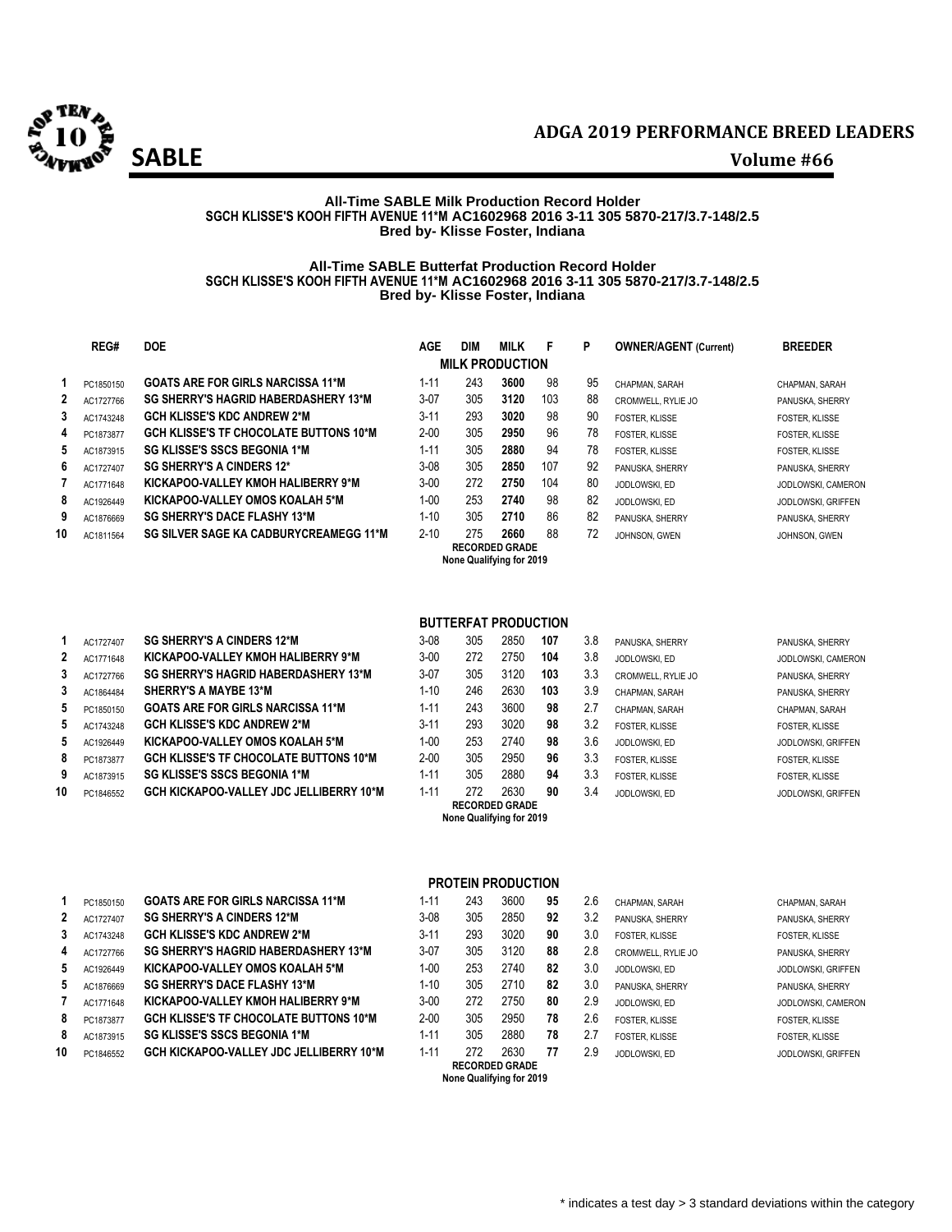

### **All-Time SABLE Milk Production Record Holder SGCH KLISSE'S KOOH FIFTH AVENUE 11\*M AC1602968 2016 3-11 305 5870-217/3.7-148/2.5 Bred by- Klisse Foster, Indiana**

### **All-Time SABLE Butterfat Production Record Holder SGCH KLISSE'S KOOH FIFTH AVENUE 11\*M AC1602968 2016 3-11 305 5870-217/3.7-148/2.5 Bred by- Klisse Foster, Indiana**

|    | REG#      | <b>DOE</b>                                    | AGE      | <b>DIM</b> | <b>MILK</b>            | F   | P  | <b>OWNER/AGENT (Current)</b> | <b>BREEDER</b>        |
|----|-----------|-----------------------------------------------|----------|------------|------------------------|-----|----|------------------------------|-----------------------|
|    |           |                                               |          |            | <b>MILK PRODUCTION</b> |     |    |                              |                       |
|    | PC1850150 | <b>GOATS ARE FOR GIRLS NARCISSA 11*M</b>      | $1 - 11$ | 243        | 3600                   | 98  | 95 | CHAPMAN, SARAH               | CHAPMAN, SARAH        |
| 2  | AC1727766 | <b>SG SHERRY'S HAGRID HABERDASHERY 13*M</b>   | $3-07$   | 305        | 3120                   | 103 | 88 | CROMWELL, RYLIE JO           | PANUSKA, SHERRY       |
| 3  | AC1743248 | <b>GCH KLISSE'S KDC ANDREW 2*M</b>            | $3 - 11$ | 293        | 3020                   | 98  | 90 | <b>FOSTER, KLISSE</b>        | <b>FOSTER, KLISSE</b> |
| 4  | PC1873877 | <b>GCH KLISSE'S TF CHOCOLATE BUTTONS 10*M</b> | $2 - 00$ | 305        | 2950                   | 96  | 78 | FOSTER. KLISSE               | <b>FOSTER, KLISSE</b> |
| 5  | AC1873915 | <b>SG KLISSE'S SSCS BEGONIA 1*M</b>           | $1 - 11$ | 305        | 2880                   | 94  | 78 | <b>FOSTER, KLISSE</b>        | <b>FOSTER, KLISSE</b> |
| 6  | AC1727407 | <b>SG SHERRY'S A CINDERS 12*</b>              | $3-08$   | 305        | 2850                   | 107 | 92 | PANUSKA, SHERRY              | PANUSKA, SHERRY       |
|    | AC1771648 | KICKAPOO-VALLEY KMOH HALIBERRY 9*M            | $3 - 00$ | 272        | 2750                   | 104 | 80 | JODLOWSKI, ED                | JODLOWSKI, CAMERON    |
| 8  | AC1926449 | KICKAPOO-VALLEY OMOS KOALAH 5*M               | $1 - 00$ | 253        | 2740                   | 98  | 82 | JODLOWSKI, ED                | JODLOWSKI, GRIFFEN    |
| 9  | AC1876669 | <b>SG SHERRY'S DACE FLASHY 13*M</b>           | $1 - 10$ | 305        | 2710                   | 86  | 82 | PANUSKA, SHERRY              | PANUSKA, SHERRY       |
| 10 | AC1811564 | <b>SG SILVER SAGE KA CADBURYCREAMEGG 11*M</b> | $2 - 10$ | 275        | 2660                   | 88  | 72 | JOHNSON, GWEN                | JOHNSON, GWEN         |
|    |           |                                               |          |            | <b>RECORDED GRADE</b>  |     |    |                              |                       |

**None Qualifying for 2019**

|   | AC1727407 | <b>SG SHERRY'S A CINDERS 12*M</b>              | $3 - 08$ | 305 | 2850 | 107 | 3.8 | PANUSKA, SHERRY    | PANUSKA, SHERRY         |
|---|-----------|------------------------------------------------|----------|-----|------|-----|-----|--------------------|-------------------------|
| 2 | AC1771648 | KICKAPOO-VALLEY KMOH HALIBERRY 9*M             | $3 - 00$ | 272 | 2750 | 104 | 3.8 | JODLOWSKI, ED      | JODLOWSKI, CAME         |
| 3 | AC1727766 | <b>SG SHERRY'S HAGRID HABERDASHERY 13*M</b>    | $3-07$   | 305 | 3120 | 103 | 3.3 | CROMWELL, RYLIE JO | PANUSKA, SHERRY         |
| 3 | AC1864484 | <b>SHERRY'S A MAYBE 13*M</b>                   | 1-10     | 246 | 2630 | 103 | 3.9 | CHAPMAN, SARAH     | PANUSKA, SHERRY         |
| 5 | PC1850150 | <b>GOATS ARE FOR GIRLS NARCISSA 11*M</b>       | 1-11     | 243 | 3600 | 98  | 2.7 | CHAPMAN, SARAH     | CHAPMAN, SARAH          |
| 5 | AC1743248 | <b>GCH KLISSE'S KDC ANDREW 2*M</b>             | $3 - 11$ | 293 | 3020 | 98  | 3.2 | FOSTER, KLISSE     | <b>FOSTER, KLISSE</b>   |
| 5 | AC1926449 | KICKAPOO VALLEY OMOS KOALAH 5*M                | 1-00     | 253 | 2740 | 98  | 3.6 | JODLOWSKI, ED      | JODLOWSKI, GRIFF        |
| 8 | PC1873877 | <b>GCH KLISSE'S TF CHOCOLATE BUTTONS 10*M</b>  | $2 - 00$ | 305 | 2950 | 96  | 3.3 | FOSTER, KLISSE     | FOSTER, KLISSE          |
| 9 | AC1873915 | <b>SG KLISSE'S SSCS BEGONIA 1*M</b>            | 1-11     | 305 | 2880 | 94  | 3.3 | FOSTER, KLISSE     | FOSTER, KLISSE          |
| 0 | PC1846552 | <b>GCH KICKAPOO-VALLEY JDC JELLIBERRY 10*M</b> | $1 - 11$ | 272 | 2630 | 90  | 3.4 | JODLOWSKI, ED      | <b>JODLOWSKI, GRIFF</b> |

## **BUTTERFAT PRODUCTION**

|    | AC1727407 | <b>SG SHERRY'S A CINDERS 12*M</b>              | $3 - 08$ | 305 | 2850                     | 107 | 3.8 | PANUSKA, SHERRY       | PANUSKA, SHERRY           |
|----|-----------|------------------------------------------------|----------|-----|--------------------------|-----|-----|-----------------------|---------------------------|
| 2  | AC1771648 | KICKAPOO-VALLEY KMOH HALIBERRY 9*M             | $3 - 00$ | 272 | 2750                     | 104 | 3.8 | JODLOWSKI, ED         | JODLOWSKI, CAMERO         |
| 3  | AC1727766 | <b>SG SHERRY'S HAGRID HABERDASHERY 13*M</b>    | $3-07$   | 305 | 3120                     | 103 | 3.3 | CROMWELL, RYLIE JO    | PANUSKA, SHERRY           |
| 3  | AC1864484 | <b>SHERRY'S A MAYBE 13*M</b>                   | $1 - 10$ | 246 | 2630                     | 103 | 3.9 | CHAPMAN, SARAH        | PANUSKA, SHERRY           |
| 5. | PC1850150 | <b>GOATS ARE FOR GIRLS NARCISSA 11*M</b>       | $1 - 11$ | 243 | 3600                     | 98  | 2.7 | CHAPMAN, SARAH        | CHAPMAN, SARAH            |
| 5  | AC1743248 | <b>GCH KLISSE'S KDC ANDREW 2*M</b>             | $3 - 11$ | 293 | 3020                     | 98  | 3.2 | <b>FOSTER, KLISSE</b> | <b>FOSTER, KLISSE</b>     |
| 5  | AC1926449 | KICKAPOO VALLEY OMOS KOALAH 5*M                | $1 - 00$ | 253 | 2740                     | 98  | 3.6 | JODLOWSKI, ED         | <b>JODLOWSKI, GRIFFEN</b> |
| 8  | PC1873877 | <b>GCH KLISSE'S TF CHOCOLATE BUTTONS 10*M</b>  | $2 - 00$ | 305 | 2950                     | 96  | 3.3 | <b>FOSTER, KLISSE</b> | <b>FOSTER, KLISSE</b>     |
| 9  | AC1873915 | <b>SG KLISSE'S SSCS BEGONIA 1*M</b>            | $1 - 11$ | 305 | 2880                     | 94  | 3.3 | FOSTER, KLISSE        | <b>FOSTER, KLISSE</b>     |
| 10 | PC1846552 | <b>GCH KICKAPOO-VALLEY JDC JELLIBERRY 10*M</b> | $1 - 11$ | 272 | 2630                     | 90  | 3.4 | JODLOWSKI, ED         | <b>JODLOWSKI, GRIFFEN</b> |
|    |           |                                                |          |     | <b>RECORDED GRADE</b>    |     |     |                       |                           |
|    |           |                                                |          |     | None Qualifying for 2019 |     |     |                       |                           |

 $JODLOWSKI, CAMERON$  $JODLOWSKI, GRIFFEN$ 

|   | PC1850150 | <b>GOATS ARE FOR GIRLS NARCISSA 11*M</b>       | $1 - 11$ | 243 | 3600 | 95 | 2.6 | CHAPMAN, SARAH     | CHAPMAN, SARAH          |
|---|-----------|------------------------------------------------|----------|-----|------|----|-----|--------------------|-------------------------|
| 2 | AC1727407 | <b>SG SHERRY'S A CINDERS 12*M</b>              | $3-08$   | 305 | 2850 | 92 | 3.2 | PANUSKA, SHERRY    | PANUSKA, SHERRY         |
| 3 | AC1743248 | <b>GCH KLISSE'S KDC ANDREW 2*M</b>             | $3 - 11$ | 293 | 3020 | 90 | 3.0 | FOSTER, KLISSE     | FOSTER, KLISSE          |
| 4 | AC1727766 | <b>SG SHERRY'S HAGRID HABERDASHERY 13*M</b>    | $3-07$   | 305 | 3120 | 88 | 2.8 | CROMWELL, RYLIE JO | PANUSKA, SHERRY         |
| 5 | AC1926449 | KICKAPOO-VALLEY OMOS KOALAH 5*M                | 1-00     | 253 | 2740 | 82 | 3.0 | JODLOWSKI, ED      | JODLOWSKI, GRIFF        |
| 5 | AC1876669 | <b>SG SHERRY'S DACE FLASHY 13*M</b>            | $1 - 10$ | 305 | 2710 | 82 | 3.0 | PANUSKA, SHERRY    | PANUSKA, SHERRY         |
|   | AC1771648 | KICKAPOO-VALLEY KMOH HALIBERRY 9*M             | $3 - 00$ | 272 | 2750 | 80 | 2.9 | JODLOWSKI, ED      | JODLOWSKI, CAME         |
| 8 | PC1873877 | <b>GCH KLISSE'S TF CHOCOLATE BUTTONS 10*M</b>  | $2 - 00$ | 305 | 2950 | 78 | 2.6 | FOSTER, KLISSE     | FOSTER, KLISSE          |
| 8 | AC1873915 | <b>SG KLISSE'S SSCS BEGONIA 1*M</b>            | 1-11     | 305 | 2880 | 78 | 2.7 | FOSTER, KLISSE     | <b>FOSTER, KLISSE</b>   |
| 0 | PC1846552 | <b>GCH KICKAPOO-VALLEY JDC JELLIBERRY 10*M</b> | $1 - 11$ | 272 | 2630 | 77 | 2.9 | JODLOWSKI, ED      | <b>JODLOWSKI, GRIFF</b> |

## **PROTEIN PRODUCTION**

|   | $1 - 11$ | 243 | 3600                  | 95 | 2.6 | CHAPMAN, SARAH        | CHAPMAN, SARAH        |
|---|----------|-----|-----------------------|----|-----|-----------------------|-----------------------|
|   | $3-08$   | 305 | 2850                  | 92 | 3.2 | PANUSKA, SHERRY       | PANUSKA, SHERRY       |
|   | $3 - 11$ | 293 | 3020                  | 90 | 3.0 | FOSTER, KLISSE        | <b>FOSTER, KLISSE</b> |
|   | $3-07$   | 305 | 3120                  | 88 | 2.8 | CROMWELL, RYLIE JO    | PANUSKA, SHERRY       |
|   | $1 - 00$ | 253 | 2740                  | 82 | 3.0 | JODLOWSKI, ED         | JODLOWSKI, GRIFFEN    |
|   | $1 - 10$ | 305 | 2710                  | 82 | 3.0 | PANUSKA, SHERRY       | PANUSKA, SHERRY       |
|   | $3 - 00$ | 272 | 2750                  | 80 | 2.9 | JODLOWSKI, ED         | JODLOWSKI, CAMERON    |
|   | $2 - 00$ | 305 | 2950                  | 78 | 2.6 | FOSTER. KLISSE        | <b>FOSTER, KLISSE</b> |
|   | $1 - 11$ | 305 | 2880                  | 78 | 2.7 | <b>FOSTER, KLISSE</b> | <b>FOSTER, KLISSE</b> |
| M | $1 - 11$ | 272 | 2630                  | 77 | 2.9 | JODLOWSKI, ED         | JODLOWSKI, GRIFFEN    |
|   |          |     | <b>RECORDED GRADE</b> |    |     |                       |                       |
|   |          |     |                       |    |     |                       |                       |

**None Qualifying for 2019**

| CHAPMAN. SARAH            |
|---------------------------|
| PANUSKA, SHERRY           |
| FOSTER. KLISSE            |
| <b>CROMWELL, RYLIE JC</b> |
| <b>JODLOWSKI, ED</b>      |
| PANUSKA, SHERRY           |
| <b>JODLOWSKI, ED</b>      |
| <b>FOSTER, KLISSE</b>     |
| FOSTER. KLISSE            |
| <b>JODLOWSKI, ED</b>      |
|                           |

 $JODLOWSKI, GRIFFEN$  $JODLOWSKI, CAMERON$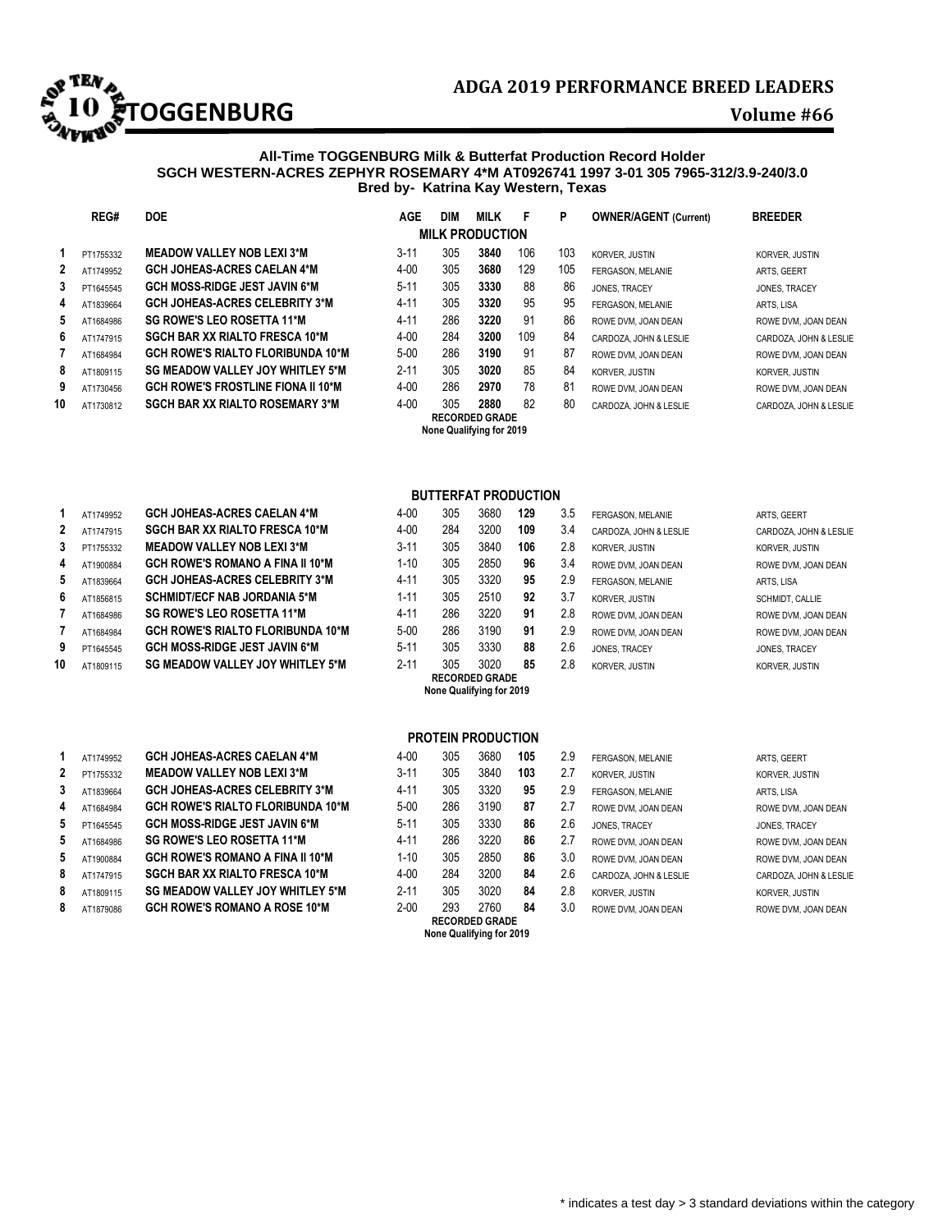

## **All-Time TOGGENBURG Milk & Butterfat Production Record Holder SGCH WESTERN-ACRES ZEPHYR ROSEMARY 4\*M AT0926741 1997 3-01 305 7965-312/3.9-240/3.0 Bred by- Katrina Kay Western, Texas**

|              | REG#      | <b>DOE</b>                                | <b>AGE</b> | <b>DIM</b> | <b>MILK</b>                                       | F   | P   | <b>OWNER/AGENT (Current)</b> | <b>BREEDER</b>         |
|--------------|-----------|-------------------------------------------|------------|------------|---------------------------------------------------|-----|-----|------------------------------|------------------------|
|              |           |                                           |            |            | <b>MILK PRODUCTION</b>                            |     |     |                              |                        |
|              | PT1755332 | <b>MEADOW VALLEY NOB LEXI 3*M</b>         | $3 - 11$   | 305        | 3840                                              | 106 | 103 | KORVER, JUSTIN               | KORVER, JUSTIN         |
| $\mathbf{2}$ | AT1749952 | <b>GCH JOHEAS-ACRES CAELAN 4*M</b>        | $4 - 00$   | 305        | 3680                                              | 129 | 105 | FERGASON, MELANIE            | ARTS, GEERT            |
| 3            | PT1645545 | <b>GCH MOSS-RIDGE JEST JAVIN 6*M</b>      | $5-11$     | 305        | 3330                                              | 88  | 86  | JONES, TRACEY                | JONES, TRACEY          |
| 4            | AT1839664 | <b>GCH JOHEAS-ACRES CELEBRITY 3*M</b>     | $4 - 11$   | 305        | 3320                                              | 95  | 95  | FERGASON, MELANIE            | ARTS, LISA             |
| 5            | AT1684986 | SG ROWE'S LEO ROSETTA 11*M                | $4 - 11$   | 286        | 3220                                              | 91  | 86  | ROWE DVM, JOAN DEAN          | ROWE DVM, JOAN DEAN    |
| 6            | AT1747915 | <b>SGCH BAR XX RIALTO FRESCA 10*M</b>     | $4 - 00$   | 284        | 3200                                              | 109 | 84  | CARDOZA, JOHN & LESLIE       | CARDOZA, JOHN & LESLIE |
|              | AT1684984 | <b>GCH ROWE'S RIALTO FLORIBUNDA 10*M</b>  | $5-00$     | 286        | 3190                                              | 91  | 87  | ROWE DVM, JOAN DEAN          | ROWE DVM. JOAN DEAN    |
| 8            | AT1809115 | SG MEADOW VALLEY JOY WHITLEY 5*M          | $2 - 11$   | 305        | 3020                                              | 85  | 84  | <b>KORVER, JUSTIN</b>        | KORVER, JUSTIN         |
| 9            | AT1730456 | <b>GCH ROWE'S FROSTLINE FIONA II 10*M</b> | $4 - 00$   | 286        | 2970                                              | 78  | 81  | ROWE DVM, JOAN DEAN          | ROWE DVM, JOAN DEAN    |
| 10           | AT1730812 | <b>SGCH BAR XX RIALTO ROSEMARY 3*M</b>    | $4 - 00$   | 305        | 2880                                              | 82  | 80  | CARDOZA, JOHN & LESLIE       | CARDOZA, JOHN & LESLIE |
|              |           |                                           |            |            | <b>RECORDED GRADE</b><br>None Qualifying for 2019 |     |     |                              |                        |

## **BUTTERFAT PRODUCTION**

| 4  | AT1900884 | <b>GCH ROWE'S ROMANO A FINA II 10*M</b>  | $1 - 10$ | 305 | 2850 | 96 | 3.4 | ROWE DVM, JOAN DEAN   | ROWE DVM. JOAN DEAN |
|----|-----------|------------------------------------------|----------|-----|------|----|-----|-----------------------|---------------------|
| 5. | AT1839664 | <b>GCH JOHEAS-ACRES CELEBRITY 3*M</b>    | 4-11     | 305 | 3320 | 95 | 2.9 | FERGASON, MELANIE     | ARTS, LISA          |
| 6  | AT1856815 | <b>SCHMIDT/ECF NAB JORDANIA 5*M</b>      | $1 - 11$ | 305 | 2510 | 92 | 3.7 | KORVER, JUSTIN        | SCHMIDT, CALLIE     |
|    | AT1684986 | <b>SG ROWE'S LEO ROSETTA 11*M</b>        | 4-11     | 286 | 3220 | 91 | 2.8 | ROWE DVM. JOAN DEAN   | ROWE DVM. JOAN DEAN |
|    | AT1684984 | <b>GCH ROWE'S RIALTO FLORIBUNDA 10*M</b> | $5 - 00$ | 286 | 3190 | 91 | 2.9 | ROWE DVM, JOAN DEAN   | ROWE DVM. JOAN DEAN |
| 9  | PT1645545 | <b>GCH MOSS-RIDGE JEST JAVIN 6*M</b>     | $5 - 11$ | 305 | 3330 | 88 | 2.6 | JONES, TRACEY         | JONES, TRACEY       |
| 10 | AT1809115 | <b>SG MEADOW VALLEY JOY WHITLEY 5*M</b>  | $2 - 11$ | 305 | 3020 | 85 | 2.8 | <b>KORVER, JUSTIN</b> | KORVER, JUSTIN      |

## **PROTEIN PRODUCTION**

|   |           |                                          |          |     | None Qualifying for 2019      |     |     |                        |                        |
|---|-----------|------------------------------------------|----------|-----|-------------------------------|-----|-----|------------------------|------------------------|
| 8 | AT1879086 | <b>GCH ROWE'S ROMANO A ROSE 10*M</b>     | $2 - 00$ | 293 | 2760<br><b>RECORDED GRADE</b> | 84  | 3.0 | ROWE DVM. JOAN DEAN    | ROWE DVM. JOAN DEAN    |
| 8 | AT1809115 | <b>SG MEADOW VALLEY JOY WHITLEY 5*M</b>  | $2 - 11$ | 305 | 3020                          | 84  | 2.8 | KORVER, JUSTIN         | KORVER, JUSTIN         |
| 8 | AT1747915 | <b>SGCH BAR XX RIALTO FRESCA 10*M</b>    | $4 - 00$ | 284 | 3200                          | 84  | 2.6 | CARDOZA, JOHN & LESLIE | CARDOZA, JOHN & LESLIE |
|   | AT1900884 | <b>GCH ROWE'S ROMANO A FINA II 10*M</b>  | $1 - 10$ | 305 | 2850                          | 86  | 3.0 | ROWE DVM, JOAN DEAN    | ROWE DVM, JOAN DEAN    |
| 5 | AT1684986 | <b>SG ROWE'S LEO ROSETTA 11*M</b>        | $4 - 11$ | 286 | 3220                          | 86  | 2.7 | ROWE DVM, JOAN DEAN    | ROWE DVM, JOAN DEAN    |
|   | PT1645545 | <b>GCH MOSS-RIDGE JEST JAVIN 6*M</b>     | $5 - 11$ | 305 | 3330                          | 86  | 2.6 | JONES, TRACEY          | JONES, TRACEY          |
|   | AT1684984 | <b>GCH ROWE'S RIALTO FLORIBUNDA 10*M</b> | $5 - 00$ | 286 | 3190                          | 87  | 2.7 | ROWE DVM, JOAN DEAN    | ROWE DVM, JOAN DEAN    |
|   | AT1839664 | <b>GCH JOHEAS-ACRES CELEBRITY 3*M</b>    | $4 - 11$ | 305 | 3320                          | 95  | 2.9 | FERGASON, MELANIE      | ARTS, LISA             |
|   | PT1755332 | <b>MEADOW VALLEY NOB LEXI 3*M</b>        | $3 - 11$ | 305 | 3840                          | 103 | 2.7 | KORVER, JUSTIN         | KORVER, JUSTIN         |
|   | AT1749952 | <b>GCH JOHEAS-ACRES CAELAN 4*M</b>       | $4 - 00$ | 305 | 3680                          | 105 | 2.9 | FERGASON, MELANIE      | ARTS, GEERT            |
|   |           |                                          |          |     |                               |     |     |                        |                        |

| 1           | AT1749952 | <b>GCH JOHEAS-ACRES CAELAN 4*M</b>       |
|-------------|-----------|------------------------------------------|
| $\mathbf 2$ | AT1747915 | <b>SGCH BAR XX RIALTO FRESCA 10*M</b>    |
| 3           | PT1755332 | <b>MEADOW VALLEY NOB LEXI 3*M</b>        |
| 4           | AT1900884 | <b>GCH ROWE'S ROMANO A FINA II 10*M</b>  |
| 5           | AT1839664 | <b>GCH JOHEAS-ACRES CELEBRITY 3*M</b>    |
| 6           | AT1856815 | <b>SCHMIDT/ECF NAB JORDANIA 5*M</b>      |
| 7           | AT1684986 | <b>SG ROWE'S LEO ROSETTA 11*M</b>        |
| 7           | AT1684984 | <b>GCH ROWE'S RIALTO FLORIBUNDA 10*N</b> |
| 9           | PT1645545 | <b>GCH MOSS-RIDGE JEST JAVIN 6*M</b>     |
| 0           | AT1809115 | SG MEADOW VALLEY JOY WHITLEY 5*M         |

| 1 | AT1749952 | <b>GCH JOHEAS-ACRES CAELAN 4*M</b>       |
|---|-----------|------------------------------------------|
| 2 | PT1755332 | <b>MEADOW VALLEY NOB LEXI 3*M</b>        |
| 3 | AT1839664 | <b>GCH JOHEAS-ACRES CELEBRITY 3*M</b>    |
| 4 | AT1684984 | <b>GCH ROWE'S RIALTO FLORIBUNDA 10*M</b> |
| 5 | PT1645545 | <b>GCH MOSS-RIDGE JEST JAVIN 6*M</b>     |
| 5 | AT1684986 | <b>SG ROWE'S LEO ROSETTA 11*M</b>        |
| 5 | AT1900884 | <b>GCH ROWE'S ROMANO A FINA II 10*M</b>  |
| 8 | AT1747915 | <b>SGCH BAR XX RIALTO FRESCA 10*M</b>    |
| 8 | AT1809115 | <b>SG MEADOW VALLEY JOY WHITLEY 5*M</b>  |
| 8 | AT1879086 | <b>GCH ROWE'S ROMANO A ROSE 10*M</b>     |
|   |           |                                          |